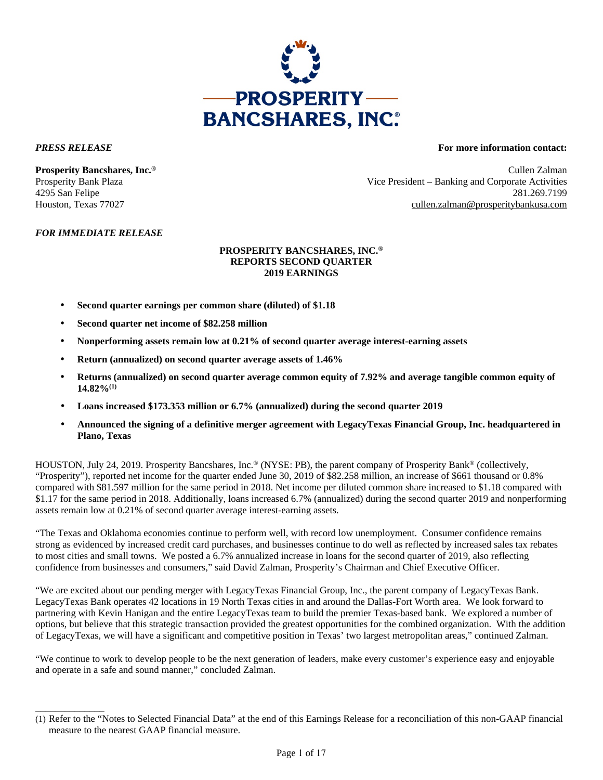

\_\_\_\_\_\_\_\_\_\_\_\_\_\_

### *PRESS RELEASE* **For more information contact:**

**Prosperity Bancshares, Inc.®** Cullen Zalman Prosperity Bank Plaza Vice President – Banking and Corporate Activities 4295 San Felipe 281.269.7199 Houston, Texas 77027 cullen.zalman@prosperitybankusa.com

### *FOR IMMEDIATE RELEASE*

### **PROSPERITY BANCSHARES, INC.® REPORTS SECOND QUARTER 2019 EARNINGS**

- **Second quarter earnings per common share (diluted) of \$1.18**
- **Second quarter net income of \$82.258 million**
- **Nonperforming assets remain low at 0.21% of second quarter average interest-earning assets**
- **Return (annualized) on second quarter average assets of 1.46%**
- **Returns (annualized) on second quarter average common equity of 7.92% and average tangible common equity of 14.82%(1)**
- **Loans increased \$173.353 million or 6.7% (annualized) during the second quarter 2019**
- **Announced the signing of a definitive merger agreement with LegacyTexas Financial Group, Inc. headquartered in Plano, Texas**

HOUSTON, July 24, 2019. Prosperity Bancshares, Inc.® (NYSE: PB), the parent company of Prosperity Bank® (collectively, "Prosperity"), reported net income for the quarter ended June 30, 2019 of \$82.258 million, an increase of \$661 thousand or 0.8% compared with \$81.597 million for the same period in 2018. Net income per diluted common share increased to \$1.18 compared with \$1.17 for the same period in 2018. Additionally, loans increased 6.7% (annualized) during the second quarter 2019 and nonperforming assets remain low at 0.21% of second quarter average interest-earning assets.

"The Texas and Oklahoma economies continue to perform well, with record low unemployment. Consumer confidence remains strong as evidenced by increased credit card purchases, and businesses continue to do well as reflected by increased sales tax rebates to most cities and small towns. We posted a 6.7% annualized increase in loans for the second quarter of 2019, also reflecting confidence from businesses and consumers," said David Zalman, Prosperity's Chairman and Chief Executive Officer.

"We are excited about our pending merger with LegacyTexas Financial Group, Inc., the parent company of LegacyTexas Bank. LegacyTexas Bank operates 42 locations in 19 North Texas cities in and around the Dallas-Fort Worth area. We look forward to partnering with Kevin Hanigan and the entire LegacyTexas team to build the premier Texas-based bank. We explored a number of options, but believe that this strategic transaction provided the greatest opportunities for the combined organization. With the addition of LegacyTexas, we will have a significant and competitive position in Texas' two largest metropolitan areas," continued Zalman.

"We continue to work to develop people to be the next generation of leaders, make every customer's experience easy and enjoyable and operate in a safe and sound manner," concluded Zalman.

<sup>(1)</sup> Refer to the "Notes to Selected Financial Data" at the end of this Earnings Release for a reconciliation of this non-GAAP financial measure to the nearest GAAP financial measure.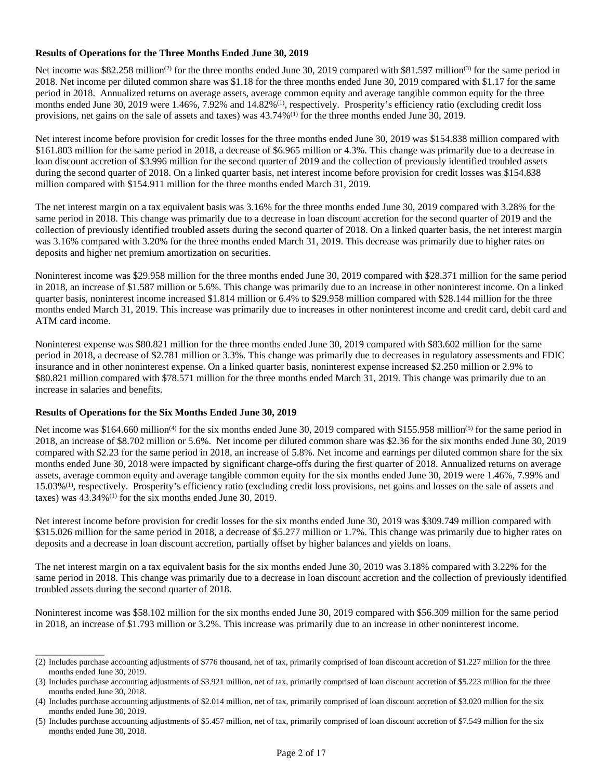### **Results of Operations for the Three Months Ended June 30, 2019**

Net income was \$82.258 million<sup>(2)</sup> for the three months ended June 30, 2019 compared with \$81.597 million<sup>(3)</sup> for the same period in 2018. Net income per diluted common share was \$1.18 for the three months ended June 30, 2019 compared with \$1.17 for the same period in 2018. Annualized returns on average assets, average common equity and average tangible common equity for the three months ended June 30, 2019 were 1.46%, 7.92% and 14.82%<sup>(1)</sup>, respectively. Prosperity's efficiency ratio (excluding credit loss provisions, net gains on the sale of assets and taxes) was 43.74%(1) for the three months ended June 30, 2019.

Net interest income before provision for credit losses for the three months ended June 30, 2019 was \$154.838 million compared with \$161.803 million for the same period in 2018, a decrease of \$6.965 million or 4.3%. This change was primarily due to a decrease in loan discount accretion of \$3.996 million for the second quarter of 2019 and the collection of previously identified troubled assets during the second quarter of 2018. On a linked quarter basis, net interest income before provision for credit losses was \$154.838 million compared with \$154.911 million for the three months ended March 31, 2019.

The net interest margin on a tax equivalent basis was 3.16% for the three months ended June 30, 2019 compared with 3.28% for the same period in 2018. This change was primarily due to a decrease in loan discount accretion for the second quarter of 2019 and the collection of previously identified troubled assets during the second quarter of 2018. On a linked quarter basis, the net interest margin was 3.16% compared with 3.20% for the three months ended March 31, 2019. This decrease was primarily due to higher rates on deposits and higher net premium amortization on securities.

Noninterest income was \$29.958 million for the three months ended June 30, 2019 compared with \$28.371 million for the same period in 2018, an increase of \$1.587 million or 5.6%. This change was primarily due to an increase in other noninterest income. On a linked quarter basis, noninterest income increased \$1.814 million or 6.4% to \$29.958 million compared with \$28.144 million for the three months ended March 31, 2019. This increase was primarily due to increases in other noninterest income and credit card, debit card and ATM card income.

Noninterest expense was \$80.821 million for the three months ended June 30, 2019 compared with \$83.602 million for the same period in 2018, a decrease of \$2.781 million or 3.3%. This change was primarily due to decreases in regulatory assessments and FDIC insurance and in other noninterest expense. On a linked quarter basis, noninterest expense increased \$2.250 million or 2.9% to \$80.821 million compared with \$78.571 million for the three months ended March 31, 2019. This change was primarily due to an increase in salaries and benefits.

### **Results of Operations for the Six Months Ended June 30, 2019**

\_\_\_\_\_\_\_\_\_\_\_\_\_\_

Net income was \$164.660 million<sup>(4)</sup> for the six months ended June 30, 2019 compared with \$155.958 million<sup>(5)</sup> for the same period in 2018, an increase of \$8.702 million or 5.6%. Net income per diluted common share was \$2.36 for the six months ended June 30, 2019 compared with \$2.23 for the same period in 2018, an increase of 5.8%. Net income and earnings per diluted common share for the six months ended June 30, 2018 were impacted by significant charge-offs during the first quarter of 2018. Annualized returns on average assets, average common equity and average tangible common equity for the six months ended June 30, 2019 were 1.46%, 7.99% and 15.03%(1), respectively. Prosperity's efficiency ratio (excluding credit loss provisions, net gains and losses on the sale of assets and taxes) was  $43.34\%$ <sup>(1)</sup> for the six months ended June 30, 2019.

Net interest income before provision for credit losses for the six months ended June 30, 2019 was \$309.749 million compared with \$315.026 million for the same period in 2018, a decrease of \$5.277 million or 1.7%. This change was primarily due to higher rates on deposits and a decrease in loan discount accretion, partially offset by higher balances and yields on loans.

The net interest margin on a tax equivalent basis for the six months ended June 30, 2019 was 3.18% compared with 3.22% for the same period in 2018. This change was primarily due to a decrease in loan discount accretion and the collection of previously identified troubled assets during the second quarter of 2018.

Noninterest income was \$58.102 million for the six months ended June 30, 2019 compared with \$56.309 million for the same period in 2018, an increase of \$1.793 million or 3.2%. This increase was primarily due to an increase in other noninterest income.

<sup>(2)</sup> Includes purchase accounting adjustments of \$776 thousand, net of tax, primarily comprised of loan discount accretion of \$1.227 million for the three months ended June 30, 2019.

<sup>(3)</sup> Includes purchase accounting adjustments of \$3.921 million, net of tax, primarily comprised of loan discount accretion of \$5.223 million for the three months ended June 30, 2018.

<sup>(4)</sup> Includes purchase accounting adjustments of \$2.014 million, net of tax, primarily comprised of loan discount accretion of \$3.020 million for the six months ended June 30, 2019.

<sup>(5)</sup> Includes purchase accounting adjustments of \$5.457 million, net of tax, primarily comprised of loan discount accretion of \$7.549 million for the six months ended June 30, 2018.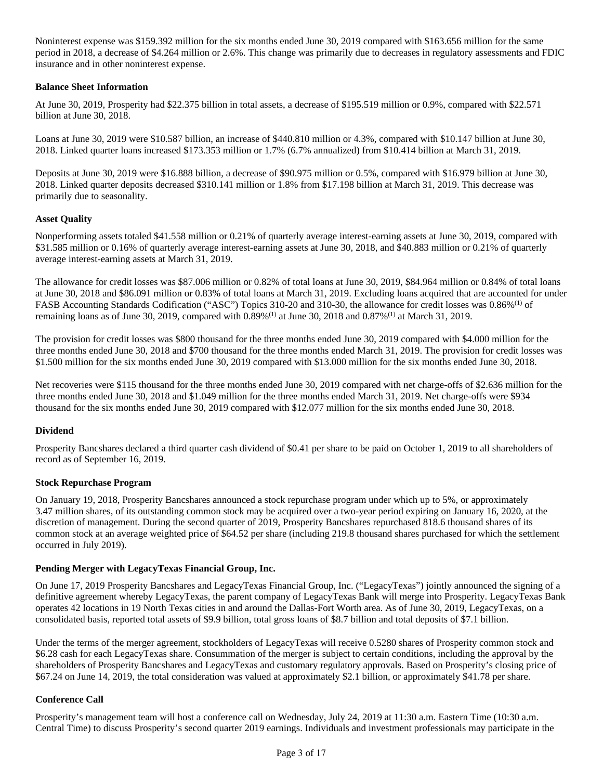Noninterest expense was \$159.392 million for the six months ended June 30, 2019 compared with \$163.656 million for the same period in 2018, a decrease of \$4.264 million or 2.6%. This change was primarily due to decreases in regulatory assessments and FDIC insurance and in other noninterest expense.

### **Balance Sheet Information**

At June 30, 2019, Prosperity had \$22.375 billion in total assets, a decrease of \$195.519 million or 0.9%, compared with \$22.571 billion at June 30, 2018.

Loans at June 30, 2019 were \$10.587 billion, an increase of \$440.810 million or 4.3%, compared with \$10.147 billion at June 30, 2018. Linked quarter loans increased \$173.353 million or 1.7% (6.7% annualized) from \$10.414 billion at March 31, 2019.

Deposits at June 30, 2019 were \$16.888 billion, a decrease of \$90.975 million or 0.5%, compared with \$16.979 billion at June 30, 2018. Linked quarter deposits decreased \$310.141 million or 1.8% from \$17.198 billion at March 31, 2019. This decrease was primarily due to seasonality.

### **Asset Quality**

Nonperforming assets totaled \$41.558 million or 0.21% of quarterly average interest-earning assets at June 30, 2019, compared with \$31.585 million or 0.16% of quarterly average interest-earning assets at June 30, 2018, and \$40.883 million or 0.21% of quarterly average interest-earning assets at March 31, 2019.

The allowance for credit losses was \$87.006 million or 0.82% of total loans at June 30, 2019, \$84.964 million or 0.84% of total loans at June 30, 2018 and \$86.091 million or 0.83% of total loans at March 31, 2019. Excluding loans acquired that are accounted for under FASB Accounting Standards Codification ("ASC") Topics 310-20 and 310-30, the allowance for credit losses was 0.86%(1) of remaining loans as of June 30, 2019, compared with 0.89%(1) at June 30, 2018 and 0.87%(1) at March 31, 2019.

The provision for credit losses was \$800 thousand for the three months ended June 30, 2019 compared with \$4.000 million for the three months ended June 30, 2018 and \$700 thousand for the three months ended March 31, 2019. The provision for credit losses was \$1.500 million for the six months ended June 30, 2019 compared with \$13.000 million for the six months ended June 30, 2018.

Net recoveries were \$115 thousand for the three months ended June 30, 2019 compared with net charge-offs of \$2.636 million for the three months ended June 30, 2018 and \$1.049 million for the three months ended March 31, 2019. Net charge-offs were \$934 thousand for the six months ended June 30, 2019 compared with \$12.077 million for the six months ended June 30, 2018.

### **Dividend**

Prosperity Bancshares declared a third quarter cash dividend of \$0.41 per share to be paid on October 1, 2019 to all shareholders of record as of September 16, 2019.

### **Stock Repurchase Program**

On January 19, 2018, Prosperity Bancshares announced a stock repurchase program under which up to 5%, or approximately 3.47 million shares, of its outstanding common stock may be acquired over a two-year period expiring on January 16, 2020, at the discretion of management. During the second quarter of 2019, Prosperity Bancshares repurchased 818.6 thousand shares of its common stock at an average weighted price of \$64.52 per share (including 219.8 thousand shares purchased for which the settlement occurred in July 2019).

### **Pending Merger with LegacyTexas Financial Group, Inc.**

On June 17, 2019 Prosperity Bancshares and LegacyTexas Financial Group, Inc. ("LegacyTexas") jointly announced the signing of a definitive agreement whereby LegacyTexas, the parent company of LegacyTexas Bank will merge into Prosperity. LegacyTexas Bank operates 42 locations in 19 North Texas cities in and around the Dallas-Fort Worth area. As of June 30, 2019, LegacyTexas, on a consolidated basis, reported total assets of \$9.9 billion, total gross loans of \$8.7 billion and total deposits of \$7.1 billion.

Under the terms of the merger agreement, stockholders of LegacyTexas will receive 0.5280 shares of Prosperity common stock and \$6.28 cash for each LegacyTexas share. Consummation of the merger is subject to certain conditions, including the approval by the shareholders of Prosperity Bancshares and LegacyTexas and customary regulatory approvals. Based on Prosperity's closing price of \$67.24 on June 14, 2019, the total consideration was valued at approximately \$2.1 billion, or approximately \$41.78 per share.

### **Conference Call**

Prosperity's management team will host a conference call on Wednesday, July 24, 2019 at 11:30 a.m. Eastern Time (10:30 a.m. Central Time) to discuss Prosperity's second quarter 2019 earnings. Individuals and investment professionals may participate in the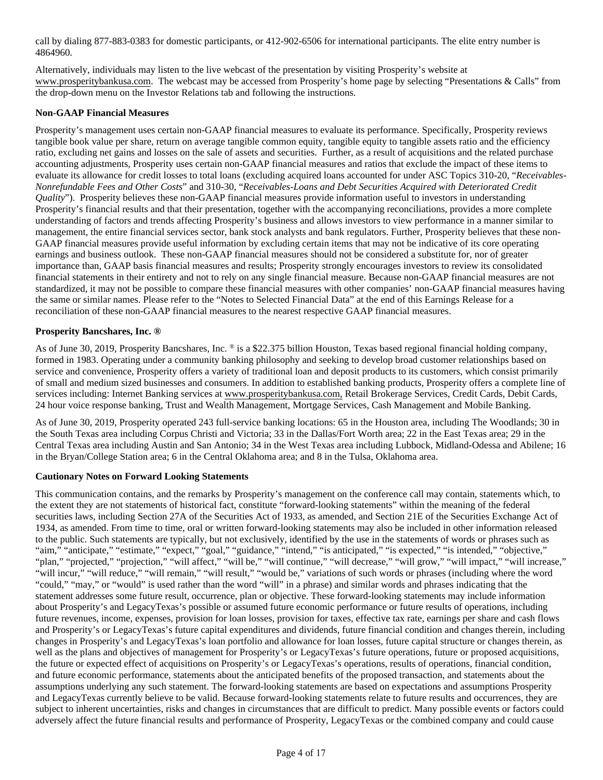call by dialing 877-883-0383 for domestic participants, or 412-902-6506 for international participants. The elite entry number is 4864960.

Alternatively, individuals may listen to the live webcast of the presentation by visiting Prosperity's website at www.prosperitybankusa.com. The webcast may be accessed from Prosperity's home page by selecting "Presentations & Calls" from the drop-down menu on the Investor Relations tab and following the instructions.

### **Non-GAAP Financial Measures**

Prosperity's management uses certain non-GAAP financial measures to evaluate its performance. Specifically, Prosperity reviews tangible book value per share, return on average tangible common equity, tangible equity to tangible assets ratio and the efficiency ratio, excluding net gains and losses on the sale of assets and securities. Further, as a result of acquisitions and the related purchase accounting adjustments, Prosperity uses certain non-GAAP financial measures and ratios that exclude the impact of these items to evaluate its allowance for credit losses to total loans (excluding acquired loans accounted for under ASC Topics 310-20, "*Receivables-Nonrefundable Fees and Other Costs*" and 310-30, "*Receivables-Loans and Debt Securities Acquired with Deteriorated Credit Quality*"). Prosperity believes these non-GAAP financial measures provide information useful to investors in understanding Prosperity's financial results and that their presentation, together with the accompanying reconciliations, provides a more complete understanding of factors and trends affecting Prosperity's business and allows investors to view performance in a manner similar to management, the entire financial services sector, bank stock analysts and bank regulators. Further, Prosperity believes that these non-GAAP financial measures provide useful information by excluding certain items that may not be indicative of its core operating earnings and business outlook. These non-GAAP financial measures should not be considered a substitute for, nor of greater importance than, GAAP basis financial measures and results; Prosperity strongly encourages investors to review its consolidated financial statements in their entirety and not to rely on any single financial measure. Because non-GAAP financial measures are not standardized, it may not be possible to compare these financial measures with other companies' non-GAAP financial measures having the same or similar names. Please refer to the "Notes to Selected Financial Data" at the end of this Earnings Release for a reconciliation of these non-GAAP financial measures to the nearest respective GAAP financial measures.

### **Prosperity Bancshares, Inc. ®**

As of June 30, 2019, Prosperity Bancshares, Inc. ® is a \$22.375 billion Houston, Texas based regional financial holding company, formed in 1983. Operating under a community banking philosophy and seeking to develop broad customer relationships based on service and convenience, Prosperity offers a variety of traditional loan and deposit products to its customers, which consist primarily of small and medium sized businesses and consumers. In addition to established banking products, Prosperity offers a complete line of services including: Internet Banking services at www.prosperitybankusa.com, Retail Brokerage Services, Credit Cards, Debit Cards, 24 hour voice response banking, Trust and Wealth Management, Mortgage Services, Cash Management and Mobile Banking.

As of June 30, 2019, Prosperity operated 243 full-service banking locations: 65 in the Houston area, including The Woodlands; 30 in the South Texas area including Corpus Christi and Victoria; 33 in the Dallas/Fort Worth area; 22 in the East Texas area; 29 in the Central Texas area including Austin and San Antonio; 34 in the West Texas area including Lubbock, Midland-Odessa and Abilene; 16 in the Bryan/College Station area; 6 in the Central Oklahoma area; and 8 in the Tulsa, Oklahoma area.

### **Cautionary Notes on Forward Looking Statements**

This communication contains, and the remarks by Prosperity's management on the conference call may contain, statements which, to the extent they are not statements of historical fact, constitute "forward-looking statements" within the meaning of the federal securities laws, including Section 27A of the Securities Act of 1933, as amended, and Section 21E of the Securities Exchange Act of 1934, as amended. From time to time, oral or written forward-looking statements may also be included in other information released to the public. Such statements are typically, but not exclusively, identified by the use in the statements of words or phrases such as "aim," "anticipate," "estimate," "expect," "goal," "guidance," "intend," "is anticipated," "is expected," "is intended," "objective," "plan," "projected," "projection," "will affect," "will be," "will continue," "will decrease," "will grow," "will impact," "will increase," "will incur," "will reduce," "will remain," "will result," "would be," variations of such words or phrases (including where the word "could," "may," or "would" is used rather than the word "will" in a phrase) and similar words and phrases indicating that the statement addresses some future result, occurrence, plan or objective. These forward-looking statements may include information about Prosperity's and LegacyTexas's possible or assumed future economic performance or future results of operations, including future revenues, income, expenses, provision for loan losses, provision for taxes, effective tax rate, earnings per share and cash flows and Prosperity's or LegacyTexas's future capital expenditures and dividends, future financial condition and changes therein, including changes in Prosperity's and LegacyTexas's loan portfolio and allowance for loan losses, future capital structure or changes therein, as well as the plans and objectives of management for Prosperity's or LegacyTexas's future operations, future or proposed acquisitions, the future or expected effect of acquisitions on Prosperity's or LegacyTexas's operations, results of operations, financial condition, and future economic performance, statements about the anticipated benefits of the proposed transaction, and statements about the assumptions underlying any such statement. The forward-looking statements are based on expectations and assumptions Prosperity and LegacyTexas currently believe to be valid. Because forward-looking statements relate to future results and occurrences, they are subject to inherent uncertainties, risks and changes in circumstances that are difficult to predict. Many possible events or factors could adversely affect the future financial results and performance of Prosperity, LegacyTexas or the combined company and could cause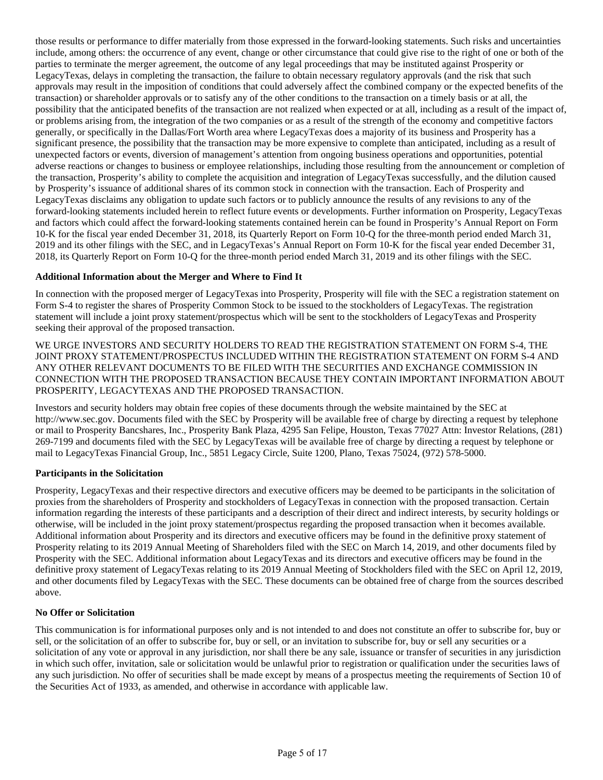those results or performance to differ materially from those expressed in the forward-looking statements. Such risks and uncertainties include, among others: the occurrence of any event, change or other circumstance that could give rise to the right of one or both of the parties to terminate the merger agreement, the outcome of any legal proceedings that may be instituted against Prosperity or LegacyTexas, delays in completing the transaction, the failure to obtain necessary regulatory approvals (and the risk that such approvals may result in the imposition of conditions that could adversely affect the combined company or the expected benefits of the transaction) or shareholder approvals or to satisfy any of the other conditions to the transaction on a timely basis or at all, the possibility that the anticipated benefits of the transaction are not realized when expected or at all, including as a result of the impact of, or problems arising from, the integration of the two companies or as a result of the strength of the economy and competitive factors generally, or specifically in the Dallas/Fort Worth area where LegacyTexas does a majority of its business and Prosperity has a significant presence, the possibility that the transaction may be more expensive to complete than anticipated, including as a result of unexpected factors or events, diversion of management's attention from ongoing business operations and opportunities, potential adverse reactions or changes to business or employee relationships, including those resulting from the announcement or completion of the transaction, Prosperity's ability to complete the acquisition and integration of LegacyTexas successfully, and the dilution caused by Prosperity's issuance of additional shares of its common stock in connection with the transaction. Each of Prosperity and LegacyTexas disclaims any obligation to update such factors or to publicly announce the results of any revisions to any of the forward-looking statements included herein to reflect future events or developments. Further information on Prosperity, LegacyTexas and factors which could affect the forward-looking statements contained herein can be found in Prosperity's Annual Report on Form 10-K for the fiscal year ended December 31, 2018, its Quarterly Report on Form 10-Q for the three-month period ended March 31, 2019 and its other filings with the SEC, and in LegacyTexas's Annual Report on Form 10-K for the fiscal year ended December 31, 2018, its Quarterly Report on Form 10-Q for the three-month period ended March 31, 2019 and its other filings with the SEC.

### **Additional Information about the Merger and Where to Find It**

In connection with the proposed merger of LegacyTexas into Prosperity, Prosperity will file with the SEC a registration statement on Form S-4 to register the shares of Prosperity Common Stock to be issued to the stockholders of LegacyTexas. The registration statement will include a joint proxy statement/prospectus which will be sent to the stockholders of LegacyTexas and Prosperity seeking their approval of the proposed transaction.

WE URGE INVESTORS AND SECURITY HOLDERS TO READ THE REGISTRATION STATEMENT ON FORM S-4, THE JOINT PROXY STATEMENT/PROSPECTUS INCLUDED WITHIN THE REGISTRATION STATEMENT ON FORM S-4 AND ANY OTHER RELEVANT DOCUMENTS TO BE FILED WITH THE SECURITIES AND EXCHANGE COMMISSION IN CONNECTION WITH THE PROPOSED TRANSACTION BECAUSE THEY CONTAIN IMPORTANT INFORMATION ABOUT PROSPERITY, LEGACYTEXAS AND THE PROPOSED TRANSACTION.

Investors and security holders may obtain free copies of these documents through the website maintained by the SEC at http://www.sec.gov. Documents filed with the SEC by Prosperity will be available free of charge by directing a request by telephone or mail to Prosperity Bancshares, Inc., Prosperity Bank Plaza, 4295 San Felipe, Houston, Texas 77027 Attn: Investor Relations, (281) 269-7199 and documents filed with the SEC by LegacyTexas will be available free of charge by directing a request by telephone or mail to LegacyTexas Financial Group, Inc., 5851 Legacy Circle, Suite 1200, Plano, Texas 75024, (972) 578-5000.

### **Participants in the Solicitation**

Prosperity, LegacyTexas and their respective directors and executive officers may be deemed to be participants in the solicitation of proxies from the shareholders of Prosperity and stockholders of LegacyTexas in connection with the proposed transaction. Certain information regarding the interests of these participants and a description of their direct and indirect interests, by security holdings or otherwise, will be included in the joint proxy statement/prospectus regarding the proposed transaction when it becomes available. Additional information about Prosperity and its directors and executive officers may be found in the definitive proxy statement of Prosperity relating to its 2019 Annual Meeting of Shareholders filed with the SEC on March 14, 2019, and other documents filed by Prosperity with the SEC. Additional information about LegacyTexas and its directors and executive officers may be found in the definitive proxy statement of LegacyTexas relating to its 2019 Annual Meeting of Stockholders filed with the SEC on April 12, 2019, and other documents filed by LegacyTexas with the SEC. These documents can be obtained free of charge from the sources described above.

### **No Offer or Solicitation**

This communication is for informational purposes only and is not intended to and does not constitute an offer to subscribe for, buy or sell, or the solicitation of an offer to subscribe for, buy or sell, or an invitation to subscribe for, buy or sell any securities or a solicitation of any vote or approval in any jurisdiction, nor shall there be any sale, issuance or transfer of securities in any jurisdiction in which such offer, invitation, sale or solicitation would be unlawful prior to registration or qualification under the securities laws of any such jurisdiction. No offer of securities shall be made except by means of a prospectus meeting the requirements of Section 10 of the Securities Act of 1933, as amended, and otherwise in accordance with applicable law.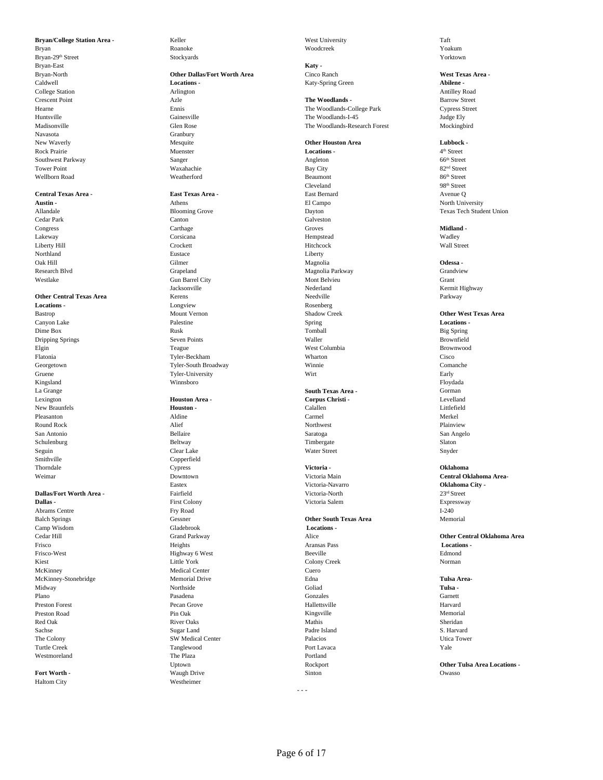Bryan Roanoke Roanoke Woodcreek Woodcreek Woodcreek Woodcreek Notes and the Monder of the Monder of the Monder Bryan-29th Street Stockyards Stockyards Stockyards Stockyards Stockyards Stockyards Stockyards Stockyards Stockyards Stockyards Stockyards Stockyards Stockyards Stockyards Stockyards Stockyards Stockyards Stockyards Stocky Bryan-East **Katy -** Navasota Granbury New Waverly **Channel Constanting Mesquite Other Houston Area <b>Lubbock -**<br>
Rock Prairie **Channel Constanting Multiple Constanting Multiple Constanting Area** *A***<sup>th</sup> Street** Rock Prairie Muenster **Locations -** 4 Southwest Parkway **Sanger** Sanger **Sanger** Sanger Angleton **Systems** Served Street Tower Point 82<sup>nd</sup> Street Bay City 82<sup>nd</sup> Street Wellborn Road and So<sup>th</sup> Street Weatherford and Beaumont Beaumont 86<sup>th</sup> Street

### **Central Texas Area - East Texas Area -** East Bernard Avenue Q

### **Other Central Texas Area**

Kingsland Winnsboro Floydada La Grange **South Texas Area -** Gorman Smithville Copperfield

**Dallas -** First Colony Prince of Prince of Prince of Prince of Prince of Prince of Prince of Prince of Prince of Prince of Prince of Prince of Prince of Prince of Prince of Prince of Prince of Prince of Prince of Prince o Abrams Centre **Fry Road** I-240 Balch Springs Gessner **Other South Texas Area** Memorial Camp Wisdom Gladebrook **Locations -** Frisco Heights Aransas Pass **Locations -** Frisco-West Edmond<br>
Edmond Ethiophy Color (Edmond Edmond Edmond Edmond Edmond Edmond Edmond Edmond Edmond Edmond Edmond Edmond Edmond Edmond Edmond Edmond Edmond Edmond Edmond Edmond Edmond Edmond Edmond Edmond Edmond Edmo Kiest Eittle York Colony Creek Norman Norman Colony Creek Norman Norman Norman Norman Norman Norman Norman Norman Norman Norman Norman Norman Norman Norman Norman Norman Norman Norman Norman Norman Norman Norman Norman Nor McKinney Medical Center Cuero McKinney-Stonebridge Memorial Drive Edna **Tulsa Area-**Midway **Northside Collad** Goliad **Tulsa -** Northside Goliad **Tulsa - Collad** Collad Plano **Pasadena** Pasadena Garnett Garnett Garnett Garnett Garnett Garnett Garnett Garnett Garnett Garnett Garnett Preston Forest Pecan Grove Hallettsville Harvard Preston Road Nemorial Pin Oak Pin Oak Nemorial Memorial Memorial Memorial Memorial Memorial Red Oak **River Oaks** River Oaks **River Sheridan** Nathis Sheridan Sheridan Sheridan Sugar Land Padre Island Padre Island S. Harvard The Colony SW Medical Center Palacios Utica Tower Turtle Creek **Tanglewood** Port Lavaca Port Lavaca Port Port Lavaca Port Lavaca Port Lavaca Port Lavaca Port Lavaca

Haltom City Westheimer

# Bryan-North **Other Dallas/Fort Worth Area** Cinco Ranch **West Texas Area -** Caldwell **Locations -** College Station **Abilene -** College Station **Abilene** - College Station **Appleme** - College Station **Appleme** - College Station **Appleme** - College Station **Appleme** - College Station **Appleme** - Col College Station Arlington Antilley Road

**Austin -** The Component Component Component Component Component Component Component Component Component Component Component Component Component Component Component Component Component Component Component Component Compone Allandale **Blooming Grove** Blooming Grove Dayton Dayton Texas Tech Student Union Cedar Park Canton Galveston Congress Carthage Groves **Midland -** Lakeway Corsicana Hempstead Wadley Liberty Hill **Example 2018** Crockett **Hitchcock** Hitchcock Wall Street Northland Eustace Liberty Oak Hill **Odessa -** Gilmer Gilmer **Communist Communist Communist Communist Communist Communist Communist Communist Communist Communist Communist Communist Communist Communist Communist Communist Communist Communist Communi** Research Blvd Grapeland Grapeland Grapeland Magnolia Parkway Grandview Grandview Westlake Gun Barrel City Mont Belvieu Grant Jacksonville Nederland Kermit Highway **Locations -** Longview **Rosenberg** Rosenberg Bastrop Mount Vernon Shadow Creek **Other West Texas Area** Canyon Lake **Locations -** Palestine **Palestine** Spring Spring Spring **Locations - Locations** - **Constant** Spring **Locations** - **Constant Spring** Spring **Locations** - **Constant Spring** Spring **Locations** - **Constant Sprin** Dime Box Big Spring Nusk Rusk Rusk Rusk Tomball Big Spring Rusk Big Spring Dripping Springs Seven Points Waller Brownfield Elgin Teague West Columbia Brownwood Flatonia Tyler-Beckham Wharton Cisco Georgetown Tyler-South Broadway Winnie Comanche Gruene **Tyler-University** Wirt Wirt Early Early

## Lexington **Houston Area - Corpus Christi -** Levelland New Braunfels **Houston - Houston - Calallen** Calallen **Calallen Calallen Littlefield** Pleasanton Aldine Carmel Merkel Round Rock **Alief** Alief **Round Rock Plainview Alief Northwest Plainview Plainview** San Antonio Bellaire Saratoga San Angelo Schulenburg Slaton Beltway Beltway Timbergate Slaton Slaton Slaton Slaton Slaton Slaton Slaton Slaton Slaton Slaton Slaton Slaton Slaton Slaton Slaton Slaton Slaton Slaton Slaton Slaton Slaton Slaton Slaton Slaton Slaton S Seguin Clear Lake Water Street Snyder Thorndale Cypress **Victoria - Oklahoma** Eastex Victoria-Navarro **Oklahoma City - Dallas/Fort Worth Area -** Fairfield **Pairfield Victoria-North 23<sup>rd</sup> Street 23<sup>rd</sup> Street 23<sup>rd</sup> Street 23rd Street 23rd Street 23rd Street 23rd Street 23rd Street 23rd Street 23rd Street 23rd Street 23rd Street 2001** Westmoreland **The Plaza Portland** Portland **Properties Fort Worth -** Construction of Construction Construction of Construction of Construction Owasso

**Bryan/College Station Area -** Keller Keller West University Taft Taft

Crescent Point **Azle** Azle **Azle The Woodlands - Barrow Street** Barrow Street Hearne Ennis The Woodlands-College Park Cypress Street Huntsville Gainesville The Woodlands-I-45 Judge Ely The Woodlands-Research Forest

Cleveland 98<sup>th</sup> Street

- - -

<sup>4th</sup> Street<br>66<sup>th</sup> Street

Weimar Downtown Victoria Main **Central Oklahoma Area-**

Cedar Hill Grand Parkway Alice **Other Central Oklahoma Area**

Uptown Rockport **Other Tulsa Area Locations -**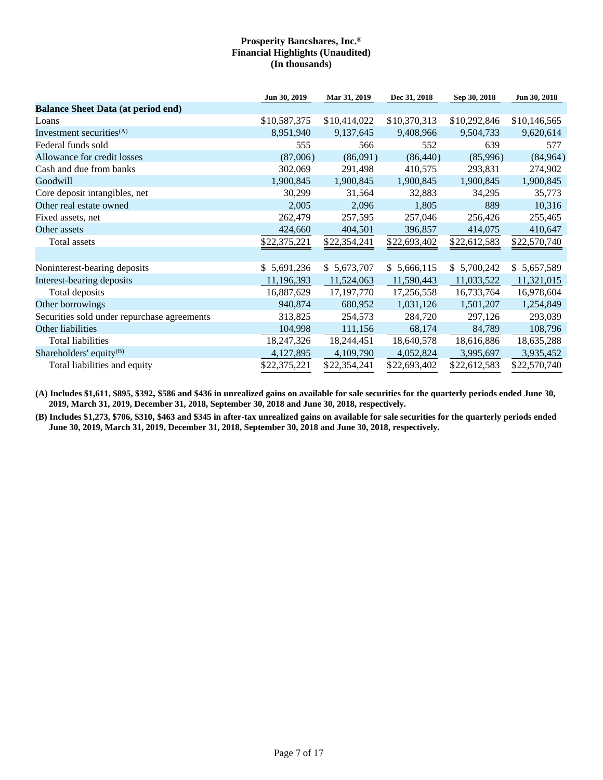|                                             | Jun 30, 2019 | Mar 31, 2019 | Dec 31, 2018 | Sep 30, 2018 | Jun 30, 2018 |
|---------------------------------------------|--------------|--------------|--------------|--------------|--------------|
| <b>Balance Sheet Data (at period end)</b>   |              |              |              |              |              |
| Loans                                       | \$10,587,375 | \$10,414,022 | \$10,370,313 | \$10,292,846 | \$10,146,565 |
| Investment securities $(A)$                 | 8,951,940    | 9,137,645    | 9,408,966    | 9,504,733    | 9,620,614    |
| Federal funds sold                          | 555          | 566          | 552          | 639          | 577          |
| Allowance for credit losses                 | (87,006)     | (86,091)     | (86, 440)    | (85,996)     | (84, 964)    |
| Cash and due from banks                     | 302,069      | 291,498      | 410,575      | 293,831      | 274,902      |
| Goodwill                                    | 1,900,845    | 1,900,845    | 1,900,845    | 1,900,845    | 1,900,845    |
| Core deposit intangibles, net               | 30,299       | 31,564       | 32,883       | 34,295       | 35,773       |
| Other real estate owned                     | 2,005        | 2,096        | 1,805        | 889          | 10,316       |
| Fixed assets, net                           | 262,479      | 257,595      | 257,046      | 256,426      | 255,465      |
| Other assets                                | 424,660      | 404,501      | 396,857      | 414,075      | 410,647      |
| Total assets                                | \$22,375,221 | \$22,354,241 | \$22,693,402 | \$22,612,583 | \$22,570,740 |
|                                             |              |              |              |              |              |
| Noninterest-bearing deposits                | \$5,691,236  | \$5,673,707  | \$5,666,115  | \$5,700,242  | \$5,657,589  |
| Interest-bearing deposits                   | 11,196,393   | 11,524,063   | 11,590,443   | 11,033,522   | 11,321,015   |
| Total deposits                              | 16,887,629   | 17, 197, 770 | 17,256,558   | 16,733,764   | 16,978,604   |
| Other borrowings                            | 940,874      | 680,952      | 1,031,126    | 1,501,207    | 1,254,849    |
| Securities sold under repurchase agreements | 313,825      | 254,573      | 284,720      | 297,126      | 293,039      |
| Other liabilities                           | 104,998      | 111,156      | 68,174       | 84,789       | 108,796      |
| <b>Total liabilities</b>                    | 18,247,326   | 18,244,451   | 18,640,578   | 18,616,886   | 18,635,288   |
| Shareholders' equity <sup>(B)</sup>         | 4,127,895    | 4,109,790    | 4,052,824    | 3,995,697    | 3,935,452    |
| Total liabilities and equity                | \$22,375,221 | \$22,354,241 | \$22,693,402 | \$22,612,583 | \$22,570,740 |

**(A) Includes \$1,611, \$895, \$392, \$586 and \$436 in unrealized gains on available for sale securities for the quarterly periods ended June 30, 2019, March 31, 2019, December 31, 2018, September 30, 2018 and June 30, 2018, respectively.**

**(B) Includes \$1,273, \$706, \$310, \$463 and \$345 in after-tax unrealized gains on available for sale securities for the quarterly periods ended June 30, 2019, March 31, 2019, December 31, 2018, September 30, 2018 and June 30, 2018, respectively.**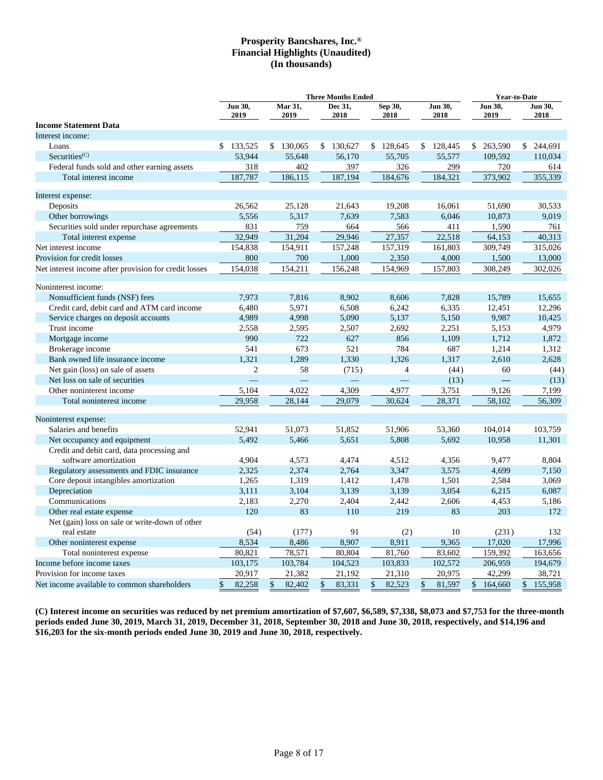|                                                       |         | <b>Three Months Ended</b> |    |                 |    |                 | Year-to-Date    |    |                 |                 |                 |
|-------------------------------------------------------|---------|---------------------------|----|-----------------|----|-----------------|-----------------|----|-----------------|-----------------|-----------------|
|                                                       | Jun 30, | 2019                      |    | Mar 31,<br>2019 |    | Dec 31,<br>2018 | Sep 30,<br>2018 |    | Jun 30,<br>2018 | Jun 30,<br>2019 | Jun 30,<br>2018 |
| <b>Income Statement Data</b>                          |         |                           |    |                 |    |                 |                 |    |                 |                 |                 |
| Interest income:                                      |         |                           |    |                 |    |                 |                 |    |                 |                 |                 |
| Loans                                                 |         | \$133,525                 |    | \$130,065       |    | \$130,627       | \$128,645       |    | \$128,445       | \$ 263,590      | \$ 244,691      |
| Securities <sup>(C)</sup>                             |         | 53,944                    |    | 55,648          |    | 56,170          | 55,705          |    | 55,577          | 109,592         | 110.034         |
| Federal funds sold and other earning assets           |         | 318                       |    | 402             |    | 397             | 326             |    | 299             | 720             | 614             |
| Total interest income                                 |         | 187,787                   |    | 186,115         |    | 187,194         | 184,676         |    | 184,321         | 373,902         | 355,339         |
| Interest expense:                                     |         |                           |    |                 |    |                 |                 |    |                 |                 |                 |
| Deposits                                              |         | 26,562                    |    | 25,128          |    | 21,643          | 19,208          |    | 16,061          | 51,690          | 30,533          |
| Other borrowings                                      |         | 5,556                     |    | 5,317           |    | 7,639           | 7,583           |    | 6,046           | 10,873          | 9,019           |
| Securities sold under repurchase agreements           |         | 831                       |    | 759             |    | 664             | 566             |    | 411             | 1,590           | 761             |
| Total interest expense                                |         | 32,949                    |    | 31,204          |    | 29,946          | 27,357          |    | 22,518          | 64,153          | 40,313          |
| Net interest income                                   |         | 154,838                   |    | 154,911         |    | 157,248         | 157,319         |    | 161,803         | 309,749         | 315,026         |
| Provision for credit losses                           |         | 800                       |    | 700             |    | 1,000           | 2,350           |    | 4,000           | 1,500           | 13,000          |
| Net interest income after provision for credit losses |         | 154,038                   |    | 154,211         |    | 156,248         | 154,969         |    | 157,803         | 308,249         | 302,026         |
| Noninterest income:                                   |         |                           |    |                 |    |                 |                 |    |                 |                 |                 |
| Nonsufficient funds (NSF) fees                        |         | 7,973                     |    | 7,816           |    | 8,902           | 8,606           |    | 7,828           | 15,789          | 15,655          |
| Credit card, debit card and ATM card income           |         | 6,480                     |    | 5,971           |    | 6,508           | 6,242           |    | 6,335           | 12,451          | 12,296          |
| Service charges on deposit accounts                   |         | 4,989                     |    | 4,998           |    | 5,090           | 5,137           |    | 5,150           | 9,987           | 10,425          |
| Trust income                                          |         | 2,558                     |    | 2,595           |    | 2,507           | 2,692           |    | 2,251           | 5,153           | 4,979           |
| Mortgage income                                       |         | 990                       |    | 722             |    | 627             | 856             |    | 1,109           | 1,712           | 1,872           |
| Brokerage income                                      |         | 541                       |    | 673             |    | 521             | 784             |    | 687             | 1,214           | 1,312           |
| Bank owned life insurance income                      |         | 1,321                     |    | 1,289           |    | 1,330           | 1,326           |    | 1,317           | 2,610           | 2,628           |
| Net gain (loss) on sale of assets                     |         | $\overline{2}$            |    | 58              |    | (715)           | $\overline{4}$  |    | (44)            | 60              | (44)            |
| Net loss on sale of securities                        |         |                           |    |                 |    |                 |                 |    | (13)            |                 | (13)            |
| Other noninterest income                              |         | 5,104                     |    | 4,022           |    | 4,309           | 4,977           |    | 3,751           | 9,126           | 7,199           |
| Total noninterest income                              |         | 29,958                    |    | 28,144          |    | 29,079          | 30,624          |    | 28,371          | 58,102          | 56,309          |
| Noninterest expense:                                  |         |                           |    |                 |    |                 |                 |    |                 |                 |                 |
| Salaries and benefits                                 |         | 52,941                    |    | 51,073          |    | 51,852          | 51,906          |    | 53,360          | 104,014         | 103,759         |
| Net occupancy and equipment                           |         | 5,492                     |    | 5,466           |    | 5,651           | 5,808           |    | 5,692           | 10,958          | 11,301          |
| Credit and debit card, data processing and            |         |                           |    |                 |    |                 |                 |    |                 |                 |                 |
| software amortization                                 |         | 4,904                     |    | 4,573           |    | 4,474           | 4,512           |    | 4,356           | 9,477           | 8,804           |
| Regulatory assessments and FDIC insurance             |         | 2,325                     |    | 2,374           |    | 2,764           | 3,347           |    | 3,575           | 4,699           | 7,150           |
| Core deposit intangibles amortization                 |         | 1,265                     |    | 1,319           |    | 1,412           | 1,478           |    | 1,501           | 2,584           | 3,069           |
| Depreciation                                          |         | 3,111                     |    | 3,104           |    | 3,139           | 3,139           |    | 3,054           | 6,215           | 6,087           |
| Communications                                        |         | 2,183                     |    | 2,270           |    | 2,404           | 2,442           |    | 2,606           | 4,453           | 5,186           |
| Other real estate expense                             |         | 120                       |    | 83              |    | 110             | 219             |    | 83              | 203             | 172             |
| Net (gain) loss on sale or write-down of other        |         |                           |    |                 |    |                 |                 |    |                 |                 |                 |
| real estate                                           |         | (54)                      |    | (177)           |    | 91              | (2)             |    | 10              | (231)           | 132             |
| Other noninterest expense                             |         | 8,534                     |    | 8,486           |    | 8,907           | 8,911           |    | 9,365           | 17,020          | 17,996          |
| Total noninterest expense                             |         | 80,821                    |    | 78,571          |    | 80,804          | 81,760          |    | 83,602          | 159,392         | 163,656         |
| Income before income taxes                            |         | 103,175                   |    | 103,784         |    | 104,523         | 103,833         |    | 102,572         | 206,959         | 194,679         |
| Provision for income taxes                            |         | 20,917                    |    | 21,382          |    | 21,192          | 21,310          |    | 20,975          | 42,299          | 38,721          |
| Net income available to common shareholders           | \$      | 82,258                    | \$ | 82,402          | \$ | 83,331          | \$<br>82,523    | \$ | 81,597          | \$<br>164,660   | \$<br>155,958   |

**(C) Interest income on securities was reduced by net premium amortization of \$7,607, \$6,589, \$7,338, \$8,073 and \$7,753 for the three-month periods ended June 30, 2019, March 31, 2019, December 31, 2018, September 30, 2018 and June 30, 2018, respectively, and \$14,196 and \$16,203 for the six-month periods ended June 30, 2019 and June 30, 2018, respectively.**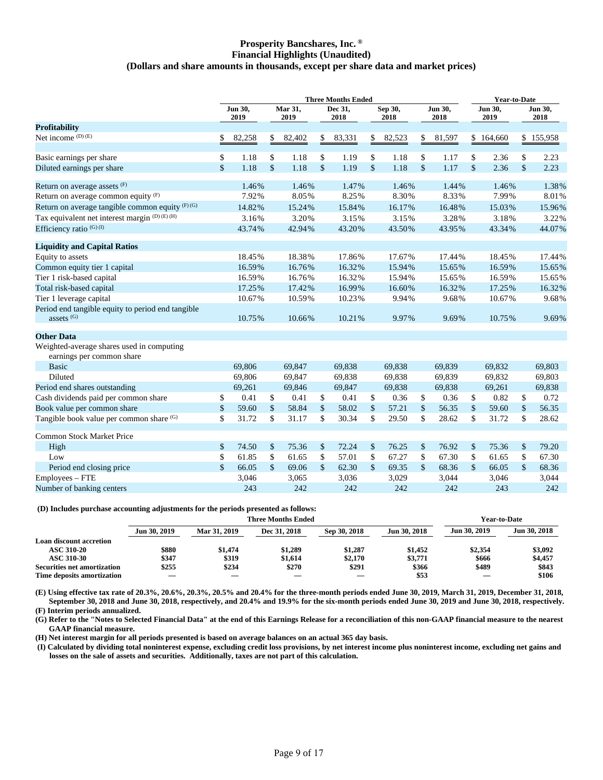### **Prosperity Bancshares, Inc. ® Financial Highlights (Unaudited) (Dollars and share amounts in thousands, except per share data and market prices)**

|                                                                        | <b>Three Months Ended</b> |                 |               |                 |    |                 | <b>Year-to-Date</b> |                 |                                 |                 |               |                 |                    |                 |
|------------------------------------------------------------------------|---------------------------|-----------------|---------------|-----------------|----|-----------------|---------------------|-----------------|---------------------------------|-----------------|---------------|-----------------|--------------------|-----------------|
|                                                                        |                           | Jun 30,<br>2019 |               | Mar 31,<br>2019 |    | Dec 31,<br>2018 |                     | Sep 30,<br>2018 |                                 | Jun 30,<br>2018 |               | Jun 30,<br>2019 |                    | Jun 30,<br>2018 |
| <b>Profitability</b>                                                   |                           |                 |               |                 |    |                 |                     |                 |                                 |                 |               |                 |                    |                 |
| Net income $(D)$ $(E)$                                                 | \$                        | 82,258          | \$            | 82,402          | \$ | 83,331          | \$                  | 82,523          | $\frac{\mathsf{s}}{\mathsf{b}}$ | 81,597          |               | \$164,660       |                    | \$155,958       |
| Basic earnings per share                                               | \$                        | 1.18            | \$            | 1.18            | \$ | 1.19            | \$                  | 1.18            | \$                              | 1.17            | \$            | 2.36            | \$                 | 2.23            |
| Diluted earnings per share                                             | $\mathbf{\hat{S}}$        | 1.18            | $\mathsf{\$}$ | 1.18            | \$ | 1.19            | $\mathsf{\$}$       | 1.18            | $\frac{1}{2}$                   | 1.17            | $\mathsf{\$}$ | 2.36            | \$                 | 2.23            |
| Return on average assets (F)                                           |                           | 1.46%           |               | 1.46%           |    | 1.47%           |                     | 1.46%           |                                 | 1.44%           |               | 1.46%           |                    | 1.38%           |
| Return on average common equity $(F)$                                  |                           | 7.92%           |               | 8.05%           |    | 8.25%           |                     | 8.30%           |                                 | 8.33%           |               | 7.99%           |                    | 8.01%           |
| Return on average tangible common equity $(F)$ (G)                     |                           | 14.82%          |               | 15.24%          |    | 15.84%          |                     | 16.17%          |                                 | 16.48%          |               | 15.03%          |                    | 15.96%          |
| Tax equivalent net interest margin (D) (E) (H)                         |                           | 3.16%           |               | 3.20%           |    | 3.15%           |                     | 3.15%           |                                 | 3.28%           |               | 3.18%           |                    | 3.22%           |
| Efficiency ratio <sup>(G)(I)</sup>                                     |                           | 43.74%          |               | 42.94%          |    | 43.20%          |                     | 43.50%          |                                 | 43.95%          |               | 43.34%          |                    | 44.07%          |
| <b>Liquidity and Capital Ratios</b>                                    |                           |                 |               |                 |    |                 |                     |                 |                                 |                 |               |                 |                    |                 |
| Equity to assets                                                       |                           | 18.45%          |               | 18.38%          |    | 17.86%          |                     | 17.67%          |                                 | 17.44%          |               | 18.45%          |                    | 17.44%          |
| Common equity tier 1 capital                                           |                           | 16.59%          |               | 16.76%          |    | 16.32%          |                     | 15.94%          |                                 | 15.65%          |               | 16.59%          |                    | 15.65%          |
| Tier 1 risk-based capital                                              |                           | 16.59%          |               | 16.76%          |    | 16.32%          |                     | 15.94%          |                                 | 15.65%          |               | 16.59%          |                    | 15.65%          |
| Total risk-based capital                                               |                           | 17.25%          |               | 17.42%          |    | 16.99%          |                     | 16.60%          |                                 | 16.32%          |               | 17.25%          |                    | 16.32%          |
| Tier 1 leverage capital                                                |                           | 10.67%          |               | 10.59%          |    | 10.23%          |                     | 9.94%           |                                 | 9.68%           |               | 10.67%          |                    | 9.68%           |
| Period end tangible equity to period end tangible<br>assets $(G)$      |                           | 10.75%          |               | 10.66%          |    | 10.21%          |                     | 9.97%           |                                 | 9.69%           |               | 10.75%          |                    | 9.69%           |
|                                                                        |                           |                 |               |                 |    |                 |                     |                 |                                 |                 |               |                 |                    |                 |
| <b>Other Data</b>                                                      |                           |                 |               |                 |    |                 |                     |                 |                                 |                 |               |                 |                    |                 |
| Weighted-average shares used in computing<br>earnings per common share |                           |                 |               |                 |    |                 |                     |                 |                                 |                 |               |                 |                    |                 |
| <b>Basic</b>                                                           |                           | 69,806          |               | 69,847          |    | 69,838          |                     | 69,838          |                                 | 69,839          |               | 69,832          |                    | 69,803          |
| Diluted                                                                |                           | 69,806          |               | 69,847          |    | 69,838          |                     | 69,838          |                                 | 69,839          |               | 69,832          |                    | 69,803          |
| Period end shares outstanding                                          |                           | 69,261          |               | 69,846          |    | 69,847          |                     | 69,838          |                                 | 69,838          |               | 69,261          |                    | 69,838          |
| Cash dividends paid per common share                                   | \$                        | 0.41            | \$            | 0.41            | \$ | 0.41            | \$                  | 0.36            | \$                              | 0.36            | \$            | 0.82            | \$                 | 0.72            |
| Book value per common share                                            | \$                        | 59.60           | \$            | 58.84           | \$ | 58.02           | \$                  | 57.21           | \$                              | 56.35           | \$            | 59.60           | $\mathbf{\hat{S}}$ | 56.35           |
| Tangible book value per common share (G)                               | \$                        | 31.72           | \$            | 31.17           | \$ | 30.34           | \$                  | 29.50           | \$                              | 28.62           | \$            | 31.72           | \$                 | 28.62           |
| Common Stock Market Price                                              |                           |                 |               |                 |    |                 |                     |                 |                                 |                 |               |                 |                    |                 |
| High                                                                   | \$                        | 74.50           | \$            | 75.36           | \$ | 72.24           | \$                  | 76.25           | \$                              | 76.92           | \$            | 75.36           | \$                 | 79.20           |
| Low                                                                    | \$                        | 61.85           | \$            | 61.65           | \$ | 57.01           | \$                  | 67.27           | \$                              | 67.30           | \$            | 61.65           | \$                 | 67.30           |
| Period end closing price                                               | \$                        | 66.05           | \$            | 69.06           | \$ | 62.30           | $\mathsf{\$}$       | 69.35           | $\mathsf{\$}$                   | 68.36           | \$            | 66.05           | $\mathsf{\$}$      | 68.36           |
| Employees – FTE                                                        |                           | 3,046           |               | 3,065           |    | 3,036           |                     | 3,029           |                                 | 3,044           |               | 3,046           |                    | 3,044           |
| Number of banking centers                                              |                           | 243             |               | 242             |    | 242             |                     | 242             |                                 | 242             |               | 243             |                    | 242             |

### **(D) Includes purchase accounting adjustments for the periods presented as follows:**

|                                    |              |              | <b>Three Months Ended</b> |                          |              |              | <b>Year-to-Date</b> |
|------------------------------------|--------------|--------------|---------------------------|--------------------------|--------------|--------------|---------------------|
|                                    | Jun 30, 2019 | Mar 31, 2019 | Dec 31, 2018              | Sep 30, 2018             | Jun 30, 2018 | Jun 30, 2019 | Jun 30, 2018        |
| Loan discount accretion            |              |              |                           |                          |              |              |                     |
| <b>ASC 310-20</b>                  | \$880        | \$1.474      | \$1,289                   | \$1.287                  | \$1,452      | \$2,354      | \$3,092             |
| <b>ASC 310-30</b>                  | \$347        | \$319        | \$1,614                   | \$2,170                  | \$3,771      | \$666        | \$4,457             |
| <b>Securities net amortization</b> | \$255        | \$234        | \$270                     | \$291                    | \$366        | \$489        | \$843               |
| Time deposits amortization         | ——           |              |                           | $\overline{\phantom{a}}$ | \$53         |              | \$106               |

**(E) Using effective tax rate of 20.3%, 20.6%, 20.3%, 20.5% and 20.4% for the three-month periods ended June 30, 2019, March 31, 2019, December 31, 2018, September 30, 2018 and June 30, 2018, respectively, and 20.4% and 19.9% for the six-month periods ended June 30, 2019 and June 30, 2018, respectively.**

**(F) Interim periods annualized.**

**(G) Refer to the "Notes to Selected Financial Data" at the end of this Earnings Release for a reconciliation of this non-GAAP financial measure to the nearest GAAP financial measure.**

**(H) Net interest margin for all periods presented is based on average balances on an actual 365 day basis.**

**(I) Calculated by dividing total noninterest expense, excluding credit loss provisions, by net interest income plus noninterest income, excluding net gains and losses on the sale of assets and securities. Additionally, taxes are not part of this calculation.**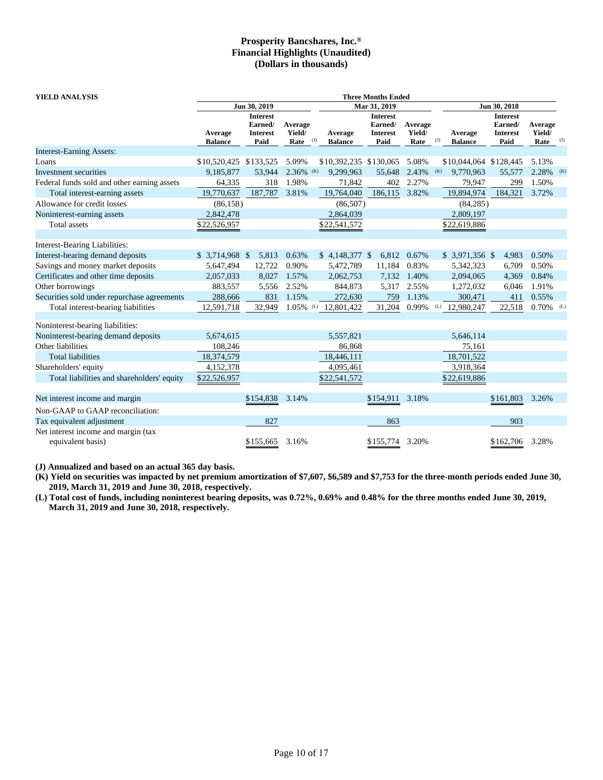| <b>YIELD ANALYSIS</b>                       |                           |                                                       |                           |                                  |           | <b>Three Months Ended</b>                             |                           |     |                           |                                                       |                           |     |
|---------------------------------------------|---------------------------|-------------------------------------------------------|---------------------------|----------------------------------|-----------|-------------------------------------------------------|---------------------------|-----|---------------------------|-------------------------------------------------------|---------------------------|-----|
|                                             |                           | Jun 30, 2019                                          |                           |                                  |           | Mar 31, 2019                                          |                           |     |                           | Jun 30, 2018                                          |                           |     |
|                                             | Average<br><b>Balance</b> | <b>Interest</b><br>Earned/<br><b>Interest</b><br>Paid | Average<br>Yield/<br>Rate | Average<br>(J)<br><b>Balance</b> |           | <b>Interest</b><br>Earned/<br><b>Interest</b><br>Paid | Average<br>Yield/<br>Rate | (J) | Average<br><b>Balance</b> | <b>Interest</b><br>Earned/<br><b>Interest</b><br>Paid | Average<br>Yield/<br>Rate | (J) |
| <b>Interest-Earning Assets:</b>             |                           |                                                       |                           |                                  |           |                                                       |                           |     |                           |                                                       |                           |     |
| Loans                                       | \$10,520,425 \$133,525    |                                                       | 5.09%                     |                                  |           | \$10,392,235 \$130,065                                | 5.08%                     |     | \$10,044,064 \$128,445    |                                                       | 5.13%                     |     |
| Investment securities                       | 9,185,877                 | 53,944                                                | $2.36\%$ (K)              | 9,299,963                        |           | 55,648                                                | 2.43%                     | (K) | 9.770.963                 | 55,577                                                | 2.28% (K)                 |     |
| Federal funds sold and other earning assets | 64,335                    | 318                                                   | 1.98%                     |                                  | 71,842    | 402                                                   | 2.27%                     |     | 79,947                    | 299                                                   | 1.50%                     |     |
| Total interest-earning assets               | 19,770,637                | 187,787                                               | 3.81%                     | 19,764,040                       |           | 186,115                                               | 3.82%                     |     | 19,894,974                | 184,321                                               | 3.72%                     |     |
| Allowance for credit losses                 | (86, 158)                 |                                                       |                           |                                  | (86, 507) |                                                       |                           |     | (84, 285)                 |                                                       |                           |     |
| Noninterest-earning assets                  | 2,842,478                 |                                                       |                           | 2,864,039                        |           |                                                       |                           |     | 2,809,197                 |                                                       |                           |     |
| Total assets                                | \$22,526,957              |                                                       |                           | \$22,541,572                     |           |                                                       |                           |     | \$22,619,886              |                                                       |                           |     |
| Interest-Bearing Liabilities:               |                           |                                                       |                           |                                  |           |                                                       |                           |     |                           |                                                       |                           |     |
| Interest-bearing demand deposits            | $$3,714,968$ \$           | 5,813                                                 | 0.63%                     | $$4,148,377$ \;                  |           | 6,812                                                 | 0.67%                     |     | $$3,971,356$ \$           | 4,983                                                 | 0.50%                     |     |
| Savings and money market deposits           | 5,647,494                 | 12,722                                                | 0.90%                     | 5,472,789                        |           | 11,184                                                | 0.83%                     |     | 5,342,323                 | 6,709                                                 | 0.50%                     |     |
| Certificates and other time deposits        | 2,057,033                 | 8,027                                                 | 1.57%                     | 2,062,753                        |           |                                                       | 7,132 1.40%               |     | 2,094,065                 | 4,369                                                 | 0.84%                     |     |
| Other borrowings                            | 883,557                   | 5,556                                                 | 2.52%                     |                                  | 844,873   | 5,317                                                 | 2.55%                     |     | 1,272,032                 | 6,046                                                 | 1.91%                     |     |
| Securities sold under repurchase agreements | 288,666                   | 831                                                   | 1.15%                     |                                  | 272,630   | 759                                                   | 1.13%                     |     | 300,471                   | 411                                                   | 0.55%                     |     |
| Total interest-bearing liabilities          | 12,591,718                | 32,949                                                | $1.05\%$ <sup>(L)</sup>   | 12,801,422                       |           | 31,204                                                | 0.99%                     | (L) | 12,980,247                | 22,518                                                | 0.70%                     |     |
| Noninterest-bearing liabilities:            |                           |                                                       |                           |                                  |           |                                                       |                           |     |                           |                                                       |                           |     |
| Noninterest-bearing demand deposits         | 5,674,615                 |                                                       |                           | 5,557,821                        |           |                                                       |                           |     | 5,646,114                 |                                                       |                           |     |
| Other liabilities                           | 108,246                   |                                                       |                           |                                  | 86,868    |                                                       |                           |     | 75,161                    |                                                       |                           |     |
| <b>Total liabilities</b>                    | 18,374,579                |                                                       |                           | 18,446,111                       |           |                                                       |                           |     | 18,701,522                |                                                       |                           |     |
| Shareholders' equity                        | 4,152,378                 |                                                       |                           | 4,095,461                        |           |                                                       |                           |     | 3,918,364                 |                                                       |                           |     |
| Total liabilities and shareholders' equity  | \$22,526,957              |                                                       |                           | \$22,541,572                     |           |                                                       |                           |     | \$22,619,886              |                                                       |                           |     |
| Net interest income and margin              |                           | \$154,838                                             | 3.14%                     |                                  |           | \$154,911                                             | 3.18%                     |     |                           | \$161,803                                             | 3.26%                     |     |
| Non-GAAP to GAAP reconciliation:            |                           |                                                       |                           |                                  |           |                                                       |                           |     |                           |                                                       |                           |     |
| Tax equivalent adjustment                   |                           | 827                                                   |                           |                                  |           | 863                                                   |                           |     |                           | 903                                                   |                           |     |
| Net interest income and margin (tax         |                           |                                                       |                           |                                  |           |                                                       |                           |     |                           |                                                       |                           |     |
| equivalent basis)                           |                           | \$155,665                                             | 3.16%                     |                                  |           | \$155,774 3.20%                                       |                           |     |                           | \$162,706                                             | 3.28%                     |     |

**(J) Annualized and based on an actual 365 day basis.**

**(K) Yield on securities was impacted by net premium amortization of \$7,607, \$6,589 and \$7,753 for the three-month periods ended June 30, 2019, March 31, 2019 and June 30, 2018, respectively.**

**(L) Total cost of funds, including noninterest bearing deposits, was 0.72%, 0.69% and 0.48% for the three months ended June 30, 2019, March 31, 2019 and June 30, 2018, respectively.**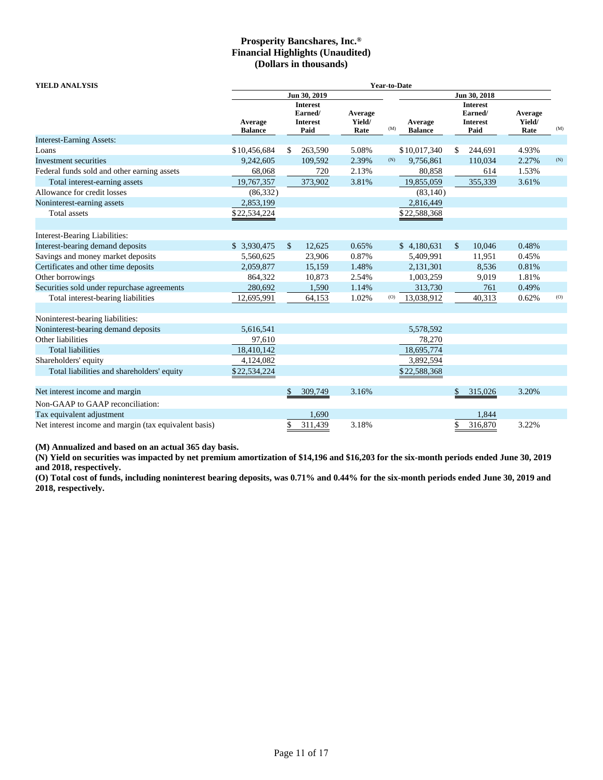| <b>YIELD ANALYSIS</b><br><b>Year-to-Date</b>          |                           |              |                                                       |                           |     |                           |                                                |              |                           |     |
|-------------------------------------------------------|---------------------------|--------------|-------------------------------------------------------|---------------------------|-----|---------------------------|------------------------------------------------|--------------|---------------------------|-----|
|                                                       |                           |              | Jun 30, 2019                                          |                           |     |                           |                                                | Jun 30, 2018 |                           |     |
|                                                       | Average<br><b>Balance</b> |              | <b>Interest</b><br>Earned/<br><b>Interest</b><br>Paid | Average<br>Yield/<br>Rate | (M) | Average<br><b>Balance</b> | <b>Interest</b><br>Earned/<br>Interest<br>Paid |              | Average<br>Yield/<br>Rate | (M) |
| <b>Interest-Earning Assets:</b>                       |                           |              |                                                       |                           |     |                           |                                                |              |                           |     |
| Loans                                                 | \$10,456,684              | \$           | 263,590                                               | 5.08%                     |     | \$10,017,340              | \$                                             | 244,691      | 4.93%                     |     |
| Investment securities                                 | 9,242,605                 |              | 109,592                                               | 2.39%                     | (N) | 9,756,861                 |                                                | 110,034      | 2.27%                     | (N) |
| Federal funds sold and other earning assets           | 68,068                    |              | 720                                                   | 2.13%                     |     | 80,858                    |                                                | 614          | 1.53%                     |     |
| Total interest-earning assets                         | 19,767,357                |              | 373,902                                               | 3.81%                     |     | 19,855,059                |                                                | 355,339      | 3.61%                     |     |
| Allowance for credit losses                           | (86, 332)                 |              |                                                       |                           |     | (83, 140)                 |                                                |              |                           |     |
| Noninterest-earning assets                            | 2,853,199                 |              |                                                       |                           |     | 2,816,449                 |                                                |              |                           |     |
| Total assets                                          | \$22,534,224              |              |                                                       |                           |     | \$22,588,368              |                                                |              |                           |     |
|                                                       |                           |              |                                                       |                           |     |                           |                                                |              |                           |     |
| Interest-Bearing Liabilities:                         |                           |              |                                                       |                           |     |                           |                                                |              |                           |     |
| Interest-bearing demand deposits                      | \$ 3,930,475              | $\mathbb{S}$ | 12.625                                                | 0.65%                     |     | \$4,180,631               | \$                                             | 10.046       | 0.48%                     |     |
| Savings and money market deposits                     | 5,560,625                 |              | 23,906                                                | 0.87%                     |     | 5,409,991                 |                                                | 11,951       | 0.45%                     |     |
| Certificates and other time deposits                  | 2,059,877                 |              | 15,159                                                | 1.48%                     |     | 2,131,301                 |                                                | 8,536        | 0.81%                     |     |
| Other borrowings                                      | 864,322                   |              | 10,873                                                | 2.54%                     |     | 1,003,259                 |                                                | 9,019        | 1.81%                     |     |
| Securities sold under repurchase agreements           | 280,692                   |              | 1,590                                                 | 1.14%                     |     | 313,730                   |                                                | 761          | 0.49%                     |     |
| Total interest-bearing liabilities                    | 12,695,991                |              | 64,153                                                | 1.02%                     | (O) | 13,038,912                |                                                | 40,313       | 0.62%                     | (O) |
|                                                       |                           |              |                                                       |                           |     |                           |                                                |              |                           |     |
| Noninterest-bearing liabilities:                      |                           |              |                                                       |                           |     |                           |                                                |              |                           |     |
| Noninterest-bearing demand deposits                   | 5,616,541                 |              |                                                       |                           |     | 5,578,592                 |                                                |              |                           |     |
| Other liabilities                                     | 97,610                    |              |                                                       |                           |     | 78,270                    |                                                |              |                           |     |
| <b>Total liabilities</b>                              | 18,410,142                |              |                                                       |                           |     | 18,695,774                |                                                |              |                           |     |
| Shareholders' equity                                  | 4,124,082                 |              |                                                       |                           |     | 3,892,594                 |                                                |              |                           |     |
| Total liabilities and shareholders' equity            | \$22,534,224              |              |                                                       |                           |     | \$22,588,368              |                                                |              |                           |     |
|                                                       |                           |              |                                                       |                           |     |                           |                                                |              |                           |     |
| Net interest income and margin                        |                           | \$           | 309,749                                               | 3.16%                     |     |                           | \$                                             | 315,026      | 3.20%                     |     |
| Non-GAAP to GAAP reconciliation:                      |                           |              |                                                       |                           |     |                           |                                                |              |                           |     |
| Tax equivalent adjustment                             |                           |              | 1,690                                                 |                           |     |                           |                                                | 1,844        |                           |     |
| Net interest income and margin (tax equivalent basis) |                           | \$           | 311,439                                               | 3.18%                     |     |                           | \$                                             | 316,870      | 3.22%                     |     |

**(M) Annualized and based on an actual 365 day basis.**

**(N) Yield on securities was impacted by net premium amortization of \$14,196 and \$16,203 for the six-month periods ended June 30, 2019 and 2018, respectively.**

**(O) Total cost of funds, including noninterest bearing deposits, was 0.71% and 0.44% for the six-month periods ended June 30, 2019 and 2018, respectively.**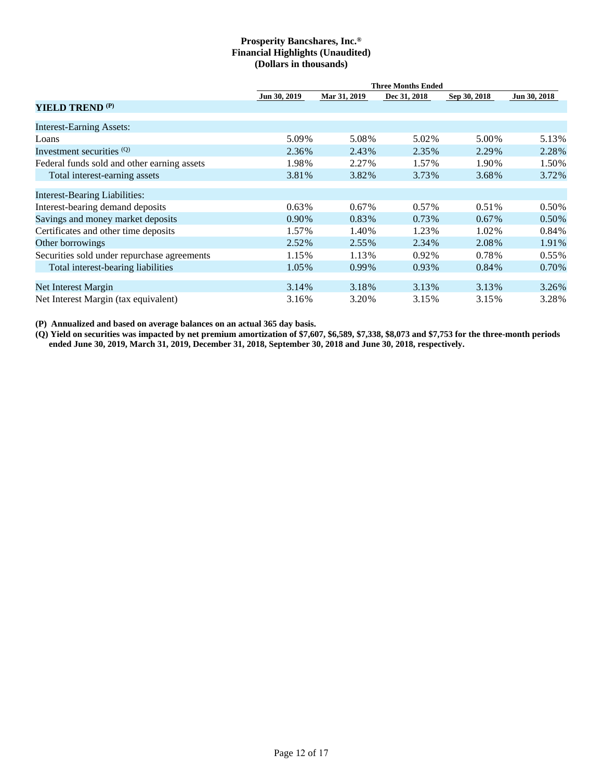|                                             | <b>Three Months Ended</b> |              |              |              |              |  |  |  |  |  |  |
|---------------------------------------------|---------------------------|--------------|--------------|--------------|--------------|--|--|--|--|--|--|
|                                             | Jun 30, 2019              | Mar 31, 2019 | Dec 31, 2018 | Sep 30, 2018 | Jun 30, 2018 |  |  |  |  |  |  |
| <b>YIELD TREND</b> <sup>(P)</sup>           |                           |              |              |              |              |  |  |  |  |  |  |
| <b>Interest-Earning Assets:</b>             |                           |              |              |              |              |  |  |  |  |  |  |
| Loans                                       | 5.09%                     | 5.08%        | 5.02%        | 5.00%        | 5.13%        |  |  |  |  |  |  |
| Investment securities (Q)                   | 2.36%                     | 2.43%        | 2.35%        | 2.29%        | 2.28%        |  |  |  |  |  |  |
| Federal funds sold and other earning assets | 1.98%                     | 2.27%        | 1.57%        | 1.90%        | 1.50%        |  |  |  |  |  |  |
| Total interest-earning assets               | 3.81%                     | 3.82%        | 3.73%        | 3.68%        | 3.72%        |  |  |  |  |  |  |
| <b>Interest-Bearing Liabilities:</b>        |                           |              |              |              |              |  |  |  |  |  |  |
| Interest-bearing demand deposits            | $0.63\%$                  | $0.67\%$     | 0.57%        | 0.51%        | 0.50%        |  |  |  |  |  |  |
| Savings and money market deposits           | 0.90%                     | 0.83%        | 0.73%        | $0.67\%$     | $0.50\%$     |  |  |  |  |  |  |
| Certificates and other time deposits        | 1.57%                     | 1.40%        | 1.23%        | 1.02%        | 0.84%        |  |  |  |  |  |  |
| Other borrowings                            | 2.52%                     | 2.55%        | 2.34%        | 2.08%        | 1.91%        |  |  |  |  |  |  |
| Securities sold under repurchase agreements | 1.15%                     | 1.13%        | 0.92%        | 0.78%        | $0.55\%$     |  |  |  |  |  |  |
| Total interest-bearing liabilities          | 1.05%                     | $0.99\%$     | 0.93%        | $0.84\%$     | $0.70\%$     |  |  |  |  |  |  |
| Net Interest Margin                         | 3.14%                     | 3.18%        | 3.13%        | 3.13%        | 3.26%        |  |  |  |  |  |  |
| Net Interest Margin (tax equivalent)        | 3.16%                     | 3.20%        | 3.15%        | 3.15%        | 3.28%        |  |  |  |  |  |  |

**(P) Annualized and based on average balances on an actual 365 day basis.**

**(Q) Yield on securities was impacted by net premium amortization of \$7,607, \$6,589, \$7,338, \$8,073 and \$7,753 for the three-month periods ended June 30, 2019, March 31, 2019, December 31, 2018, September 30, 2018 and June 30, 2018, respectively.**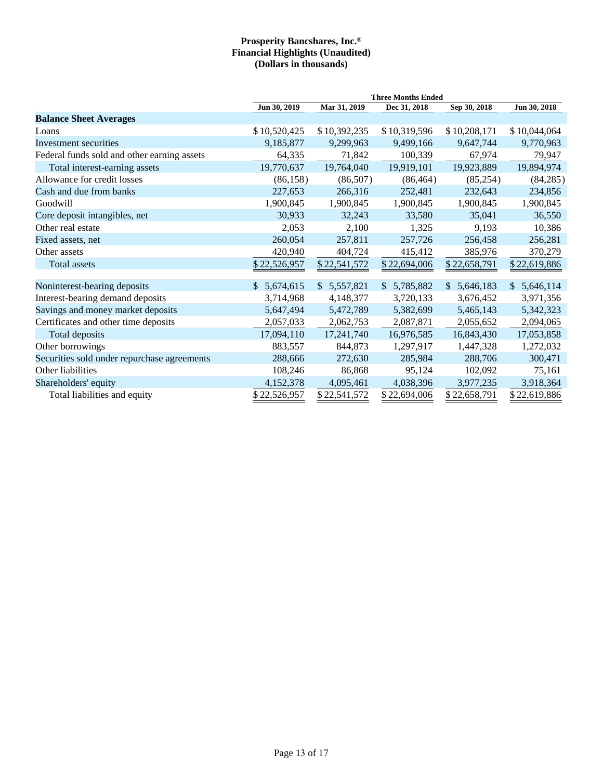|                                             |              |              | <b>Three Months Ended</b> |              |                 |
|---------------------------------------------|--------------|--------------|---------------------------|--------------|-----------------|
|                                             | Jun 30, 2019 | Mar 31, 2019 | Dec 31, 2018              | Sep 30, 2018 | Jun 30, 2018    |
| <b>Balance Sheet Averages</b>               |              |              |                           |              |                 |
| Loans                                       | \$10,520,425 | \$10,392,235 | \$10,319,596              | \$10,208,171 | \$10,044,064    |
| Investment securities                       | 9,185,877    | 9,299,963    | 9,499,166                 | 9,647,744    | 9,770,963       |
| Federal funds sold and other earning assets | 64,335       | 71,842       | 100,339                   | 67,974       | 79,947          |
| Total interest-earning assets               | 19,770,637   | 19,764,040   | 19,919,101                | 19,923,889   | 19,894,974      |
| Allowance for credit losses                 | (86, 158)    | (86,507)     | (86, 464)                 | (85,254)     | (84, 285)       |
| Cash and due from banks                     | 227,653      | 266,316      | 252,481                   | 232,643      | 234,856         |
| Goodwill                                    | 1,900,845    | 1,900,845    | 1,900,845                 | 1,900,845    | 1,900,845       |
| Core deposit intangibles, net               | 30,933       | 32,243       | 33,580                    | 35,041       | 36,550          |
| Other real estate                           | 2,053        | 2,100        | 1,325                     | 9,193        | 10,386          |
| Fixed assets, net                           | 260,054      | 257,811      | 257,726                   | 256,458      | 256,281         |
| Other assets                                | 420,940      | 404,724      | 415,412                   | 385,976      | 370,279         |
| Total assets                                | \$22,526,957 | \$22,541,572 | \$22,694,006              | \$22,658,791 | \$22,619,886    |
|                                             |              |              |                           |              |                 |
| Noninterest-bearing deposits                | \$5,674,615  | \$5,557,821  | \$5,785,882               | \$5,646,183  | 5,646,114<br>S. |
| Interest-bearing demand deposits            | 3,714,968    | 4,148,377    | 3,720,133                 | 3,676,452    | 3,971,356       |
| Savings and money market deposits           | 5,647,494    | 5,472,789    | 5,382,699                 | 5,465,143    | 5,342,323       |
| Certificates and other time deposits        | 2,057,033    | 2,062,753    | 2,087,871                 | 2,055,652    | 2,094,065       |
| Total deposits                              | 17,094,110   | 17,241,740   | 16,976,585                | 16,843,430   | 17,053,858      |
| Other borrowings                            | 883,557      | 844,873      | 1,297,917                 | 1,447,328    | 1,272,032       |
| Securities sold under repurchase agreements | 288,666      | 272,630      | 285,984                   | 288,706      | 300,471         |
| Other liabilities                           | 108,246      | 86,868       | 95,124                    | 102,092      | 75,161          |
| Shareholders' equity                        | 4,152,378    | 4,095,461    | 4,038,396                 | 3,977,235    | 3,918,364       |
| Total liabilities and equity                | \$22,526,957 | \$22,541,572 | \$22,694,006              | \$22,658,791 | \$22,619,886    |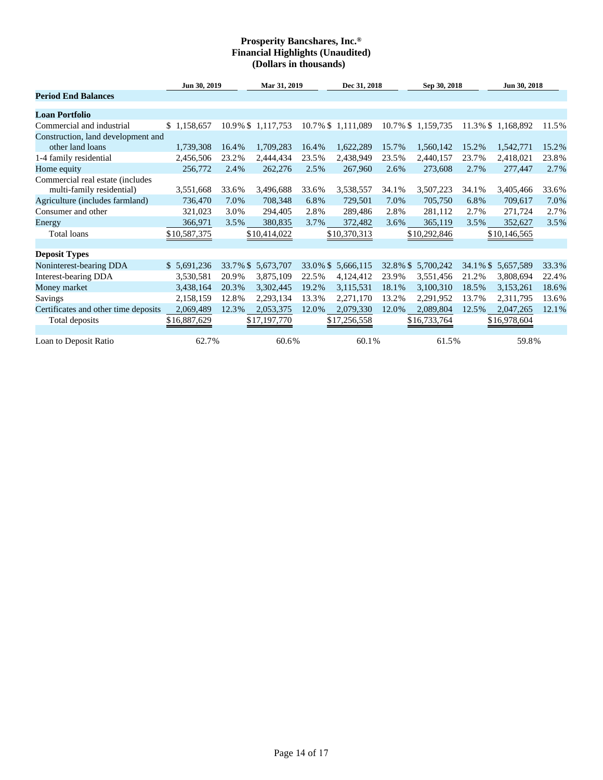|                                                               | Jun 30, 2019 |          | Mar 31, 2019      |       | Dec 31, 2018       |          | Sep 30, 2018       |             | Jun 30, 2018      |       |
|---------------------------------------------------------------|--------------|----------|-------------------|-------|--------------------|----------|--------------------|-------------|-------------------|-------|
| <b>Period End Balances</b>                                    |              |          |                   |       |                    |          |                    |             |                   |       |
| <b>Loan Portfolio</b>                                         |              |          |                   |       |                    |          |                    |             |                   |       |
| Commercial and industrial                                     | \$1,158,657  |          | 10.9% \$1,117,753 |       | 10.7% \$ 1,111,089 |          | 10.7% \$ 1,159,735 |             | 11.3% \$1,168,892 | 11.5% |
| Construction, land development and                            |              |          |                   |       |                    |          |                    |             |                   |       |
| other land loans                                              | 1,739,308    | 16.4%    | 1,709,283         | 16.4% | 1,622,289          | 15.7%    | 1,560,142          | 15.2%       | 1,542,771         | 15.2% |
| 1-4 family residential                                        | 2,456,506    | 23.2%    | 2,444,434         | 23.5% | 2,438,949          | 23.5%    | 2,440,157          | 23.7%       | 2,418,021         | 23.8% |
| Home equity                                                   | 256,772      | 2.4%     | 262,276           | 2.5%  | 267,960            | 2.6%     | 273,608            | 2.7%        | 277,447           | 2.7%  |
| Commercial real estate (includes<br>multi-family residential) | 3,551,668    | 33.6%    | 3,496,688         | 33.6% | 3,538,557          | 34.1%    | 3,507,223          | 34.1%       | 3,405,466         | 33.6% |
| Agriculture (includes farmland)                               | 736,470      | 7.0%     | 708,348           | 6.8%  | 729,501            | 7.0%     | 705,750            | 6.8%        | 709,617           | 7.0%  |
| Consumer and other                                            | 321,023      | 3.0%     | 294,405           | 2.8%  | 289,486            | 2.8%     | 281,112            | 2.7%        | 271,724           | 2.7%  |
| Energy                                                        | 366,971      | 3.5%     | 380,835           | 3.7%  | 372,482            | 3.6%     | 365,119            | 3.5%        | 352,627           | 3.5%  |
| Total loans                                                   | \$10,587,375 |          | \$10,414,022      |       | \$10,370,313       |          | \$10,292,846       |             | \$10,146,565      |       |
|                                                               |              |          |                   |       |                    |          |                    |             |                   |       |
| <b>Deposit Types</b>                                          |              |          |                   |       |                    |          |                    |             |                   |       |
| Noninterest-bearing DDA                                       | \$5,691,236  | 33.7% \$ | 5,673,707         |       | 33.0% \$ 5,666,115 | 32.8% \$ | 5,700,242          | $34.1\%$ \$ | 5,657,589         | 33.3% |
| Interest-bearing DDA                                          | 3,530,581    | 20.9%    | 3,875,109         | 22.5% | 4,124,412          | 23.9%    | 3,551,456          | 21.2%       | 3,808,694         | 22.4% |
| Money market                                                  | 3,438,164    | 20.3%    | 3,302,445         | 19.2% | 3,115,531          | 18.1%    | 3,100,310          | 18.5%       | 3,153,261         | 18.6% |
| Savings                                                       | 2,158,159    | 12.8%    | 2,293,134         | 13.3% | 2,271,170          | 13.2%    | 2,291,952          | 13.7%       | 2,311,795         | 13.6% |
| Certificates and other time deposits                          | 2,069,489    | 12.3%    | 2,053,375         | 12.0% | 2,079,330          | 12.0%    | 2,089,804          | 12.5%       | 2,047,265         | 12.1% |
| Total deposits                                                | \$16,887,629 |          | \$17,197,770      |       | \$17,256,558       |          | \$16,733,764       |             | \$16,978,604      |       |
| Loan to Deposit Ratio                                         | 62.7%        |          | 60.6%             |       | 60.1%              |          | 61.5%              |             | 59.8%             |       |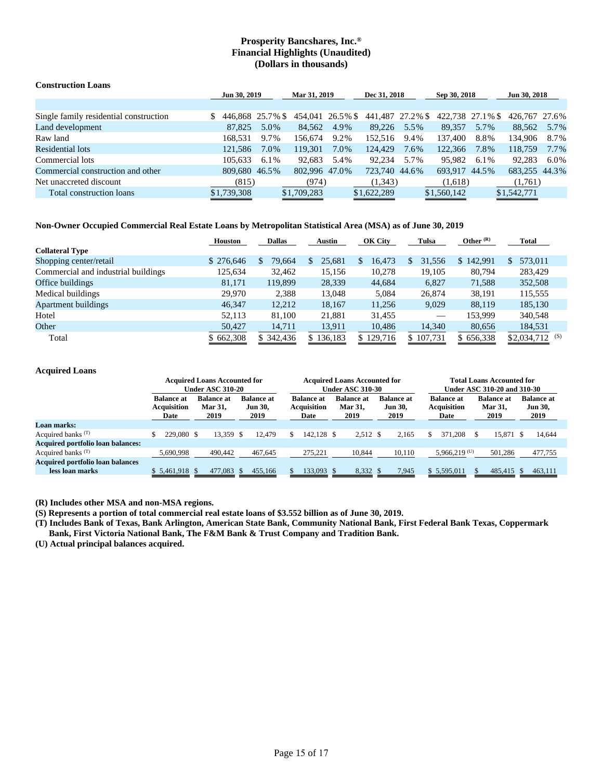| <b>Construction Loans</b>              |                  |      |                  |      |                  |      |                  |      |               |      |
|----------------------------------------|------------------|------|------------------|------|------------------|------|------------------|------|---------------|------|
|                                        | Jun 30, 2019     |      | Mar 31, 2019     |      | Dec 31, 2018     |      | Sep 30, 2018     |      | Jun 30, 2018  |      |
|                                        |                  |      |                  |      |                  |      |                  |      |               |      |
| Single family residential construction | 446,868 25.7% \$ |      | 454,041 26.5% \$ |      | 441,487 27.2% \$ |      | 422,738 27.1% \$ |      | 426,767 27.6% |      |
| Land development                       | 87,825           | 5.0% | 84,562           | 4.9% | 89.226           | 5.5% | 89.357           | 5.7% | 88.562        | 5.7% |
| Raw land                               | 168.531          | 9.7% | 156.674          | 9.2% | 152.516          | 9.4% | 137,400          | 8.8% | 134.906       | 8.7% |
| Residential lots                       | 121.586          | 7.0% | 119.301          | 7.0% | 124,429          | 7.6% | 122,366          | 7.8% | 118,759       | 7.7% |
| Commercial lots                        | 105.633          | 6.1% | 92.683           | 5.4% | 92.234           | 5.7% | 95.982           | 6.1% | 92.283        | 6.0% |
| Commercial construction and other      | 809,680 46.5%    |      | 802.996 47.0%    |      | 723,740 44.6%    |      | 693.917 44.5%    |      | 683.255 44.3% |      |
| Net unaccreted discount                | (815)            |      | (974)            |      | (1,343)          |      | (1,618)          |      | (1,761)       |      |
| Total construction loans               | \$1,739,308      |      | \$1,709,283      |      | \$1,622,289      |      | \$1,560,142      |      | \$1,542,771   |      |

### **Non-Owner Occupied Commercial Real Estate Loans by Metropolitan Statistical Area (MSA) as of June 30, 2019**

|                                     | <b>Houston</b> | <b>Dallas</b> | <b>Austin</b> | OK City      | Tulsa     | Other $(R)$ | <b>Total</b>       |
|-------------------------------------|----------------|---------------|---------------|--------------|-----------|-------------|--------------------|
| <b>Collateral Type</b>              |                |               |               |              |           |             |                    |
| Shopping center/retail              | \$276,646      | 79,664        | 25.681        | 16,473<br>S. | 31,556    | \$142,991   | 573,011            |
| Commercial and industrial buildings | 125,634        | 32.462        | 15,156        | 10,278       | 19,105    | 80.794      | 283,429            |
| Office buildings                    | 81,171         | 119.899       | 28,339        | 44,684       | 6,827     | 71,588      | 352,508            |
| Medical buildings                   | 29.970         | 2,388         | 13.048        | 5.084        | 26,874    | 38,191      | 115,555            |
| <b>Apartment buildings</b>          | 46,347         | 12,212        | 18,167        | 11,256       | 9,029     | 88,119      | 185,130            |
| Hotel                               | 52,113         | 81.100        | 21,881        | 31.455       |           | 153.999     | 340,548            |
| Other                               | 50,427         | 14,711        | 13,911        | 10,486       | 14,340    | 80,656      | 184,531            |
| Total                               | \$662,308      | \$342,436     | \$136,183     | 129,716      | \$107,731 | \$656,338   | \$2,034,712<br>(S) |

### **Acquired Loans**

|                                                            | <b>Acquired Loans Accounted for</b><br><b>Under ASC 310-20</b> |                                             |                                             |                                                 | <b>Acquired Loans Accounted for</b><br><b>Under ASC 310-30</b> |                                             | <b>Total Loans Accounted for</b><br>Under ASC 310-20 and 310-30 |                                      |                                             |  |
|------------------------------------------------------------|----------------------------------------------------------------|---------------------------------------------|---------------------------------------------|-------------------------------------------------|----------------------------------------------------------------|---------------------------------------------|-----------------------------------------------------------------|--------------------------------------|---------------------------------------------|--|
|                                                            | <b>Balance at</b><br><b>Acquisition</b><br>Date                | <b>Balance at</b><br><b>Mar 31,</b><br>2019 | <b>Balance at</b><br><b>Jun 30,</b><br>2019 | <b>Balance at</b><br><b>Acquisition</b><br>Date | <b>Balance at</b><br><b>Mar 31.</b><br>2019                    | <b>Balance at</b><br><b>Jun 30,</b><br>2019 | <b>Balance at</b><br><b>Acquisition</b><br>Date                 | <b>Balance</b> at<br>Mar 31,<br>2019 | <b>Balance at</b><br><b>Jun 30,</b><br>2019 |  |
| Loan marks:                                                |                                                                |                                             |                                             |                                                 |                                                                |                                             |                                                                 |                                      |                                             |  |
| Acquired banks $(T)$                                       | 229,080 \$                                                     | 13,359 \$                                   | 12.479                                      | 142.128 \$<br>S.                                | 2,512 \$                                                       | 2.165                                       | 371.208                                                         | 15.871<br>S.                         | 14,644<br>- \$                              |  |
| <b>Acquired portfolio loan balances:</b>                   |                                                                |                                             |                                             |                                                 |                                                                |                                             |                                                                 |                                      |                                             |  |
| Acquired banks $(T)$                                       | 5.690.998                                                      | 490,442                                     | 467,645                                     | 275.221                                         | 10,844                                                         | 10,110                                      | $5.966.219^{(U)}$                                               | 501,286                              | 477,755                                     |  |
| <b>Acquired portfolio loan balances</b><br>less loan marks | $$5,461,918$ \$                                                | 477,083                                     | 455,166                                     | 133,093 \$                                      | 8,332 \$                                                       | 7,945                                       | \$ 5,595,011                                                    | 485,415                              | 463,111<br>$\sim$ S $\sim$                  |  |

**(R) Includes other MSA and non-MSA regions.**

**(S) Represents a portion of total commercial real estate loans of \$3.552 billion as of June 30, 2019.**

**(T) Includes Bank of Texas, Bank Arlington, American State Bank, Community National Bank, First Federal Bank Texas, Coppermark Bank, First Victoria National Bank, The F&M Bank & Trust Company and Tradition Bank.**

**(U) Actual principal balances acquired.**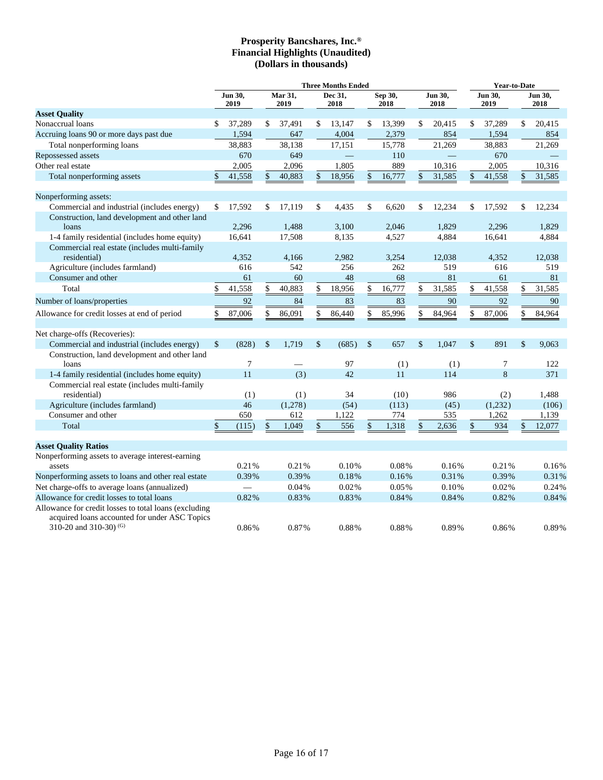|                                                                                                                                    | <b>Three Months Ended</b> |                          |                 |         |                 |        |                 |           |                 |        | Year-to-Date    |         |                 |        |
|------------------------------------------------------------------------------------------------------------------------------------|---------------------------|--------------------------|-----------------|---------|-----------------|--------|-----------------|-----------|-----------------|--------|-----------------|---------|-----------------|--------|
|                                                                                                                                    | Jun 30,<br>2019           |                          | Mar 31,<br>2019 |         | Dec 31,<br>2018 |        | Sep 30,<br>2018 |           | Jun 30,<br>2018 |        | Jun 30,<br>2019 |         | Jun 30,<br>2018 |        |
| <b>Asset Quality</b>                                                                                                               |                           |                          |                 |         |                 |        |                 |           |                 |        |                 |         |                 |        |
| Nonaccrual loans                                                                                                                   | \$                        | 37,289                   | \$              | 37,491  | \$              | 13,147 | \$              | 13,399    | \$              | 20,415 | \$              | 37,289  | \$              | 20,415 |
| Accruing loans 90 or more days past due                                                                                            |                           | 1,594                    |                 | 647     |                 | 4,004  |                 | 2,379     |                 | 854    |                 | 1,594   |                 | 854    |
| Total nonperforming loans                                                                                                          |                           | 38,883                   |                 | 38,138  |                 | 17,151 |                 | 15,778    |                 | 21,269 |                 | 38,883  |                 | 21,269 |
| Repossessed assets                                                                                                                 |                           | 670                      |                 | 649     |                 |        |                 | 110       |                 |        |                 | 670     |                 |        |
| Other real estate                                                                                                                  |                           | 2,005                    |                 | 2,096   |                 | 1,805  |                 | 889       |                 | 10,316 |                 | 2,005   |                 | 10,316 |
| Total nonperforming assets                                                                                                         | \$                        | 41,558                   | <sup>\$</sup>   | 40,883  | \$              | 18,956 | \$              | 16,777    | \$              | 31,585 | \$              | 41,558  | $\mathbf{s}$    | 31,585 |
| Nonperforming assets:                                                                                                              |                           |                          |                 |         |                 |        |                 |           |                 |        |                 |         |                 |        |
| Commercial and industrial (includes energy)                                                                                        | \$                        | 17,592                   | \$              | 17,119  | \$              | 4,435  | \$              | 6,620     | \$              | 12,234 | \$              | 17,592  | \$              | 12,234 |
| Construction, land development and other land                                                                                      |                           |                          |                 |         |                 |        |                 |           |                 |        |                 |         |                 |        |
| loans                                                                                                                              |                           | 2,296                    |                 | 1,488   |                 | 3,100  |                 | 2,046     |                 | 1,829  |                 | 2,296   |                 | 1,829  |
| 1-4 family residential (includes home equity)                                                                                      |                           | 16,641                   |                 | 17,508  |                 | 8,135  |                 | 4,527     |                 | 4,884  |                 | 16,641  |                 | 4,884  |
| Commercial real estate (includes multi-family                                                                                      |                           |                          |                 |         |                 |        |                 |           |                 |        |                 |         |                 |        |
| residential)                                                                                                                       |                           | 4,352                    |                 | 4.166   |                 | 2,982  |                 | 3,254     |                 | 12,038 |                 | 4,352   |                 | 12,038 |
| Agriculture (includes farmland)                                                                                                    |                           | 616                      |                 | 542     |                 | 256    |                 | 262       |                 | 519    |                 | 616     |                 | 519    |
| Consumer and other                                                                                                                 |                           | 61                       |                 | 60      |                 | 48     |                 | 68        |                 | 81     |                 | 61      |                 | 81     |
| Total                                                                                                                              | \$                        | 41,558                   | \$              | 40,883  | \$              | 18,956 | \$              | 16,777    | \$              | 31,585 | \$              | 41,558  | \$              | 31,585 |
| Number of loans/properties                                                                                                         |                           | 92                       |                 | 84      |                 | 83     |                 | 83        |                 | 90     |                 | 92      |                 | 90     |
| Allowance for credit losses at end of period                                                                                       | \$                        | 87,006                   | \$              | 86,091  | \$              | 86,440 | \$              | 85,996    | \$              | 84,964 | \$              | 87,006  | \$              | 84,964 |
| Net charge-offs (Recoveries):                                                                                                      |                           |                          |                 |         |                 |        |                 |           |                 |        |                 |         |                 |        |
| Commercial and industrial (includes energy)                                                                                        | $\mathsf{\$}$             | (828)                    | $\mathbb{S}$    | 1.719   | \$              | (685)  | $\mathcal{S}$   | 657       | \$              | 1.047  | $\mathcal{S}$   | 891     | \$              | 9.063  |
| Construction, land development and other land<br>loans                                                                             |                           | 7                        |                 |         |                 | 97     |                 |           |                 | (1)    |                 | 7       |                 | 122    |
|                                                                                                                                    |                           | 11                       |                 | (3)     |                 | 42     |                 | (1)<br>11 |                 | 114    |                 | 8       |                 | 371    |
| 1-4 family residential (includes home equity)                                                                                      |                           |                          |                 |         |                 |        |                 |           |                 |        |                 |         |                 |        |
| Commercial real estate (includes multi-family<br>residential)                                                                      |                           | (1)                      |                 | (1)     |                 | 34     |                 | (10)      |                 | 986    |                 | (2)     |                 | 1,488  |
| Agriculture (includes farmland)                                                                                                    |                           | 46                       |                 | (1,278) |                 | (54)   |                 | (113)     |                 | (45)   |                 | (1,232) |                 | (106)  |
| Consumer and other                                                                                                                 |                           | 650                      |                 | 612     |                 | 1,122  |                 | 774       |                 | 535    |                 | 1,262   |                 | 1,139  |
| Total                                                                                                                              | \$                        | (115)                    | \$              | 1,049   |                 | 556    | \$              | 1,318     | \$              | 2,636  | \$              | 934     | \$              | 12,077 |
|                                                                                                                                    |                           |                          |                 |         |                 |        |                 |           |                 |        |                 |         |                 |        |
| <b>Asset Quality Ratios</b>                                                                                                        |                           |                          |                 |         |                 |        |                 |           |                 |        |                 |         |                 |        |
| Nonperforming assets to average interest-earning                                                                                   |                           |                          |                 |         |                 |        |                 |           |                 |        |                 |         |                 |        |
| assets                                                                                                                             |                           | 0.21%                    |                 | 0.21%   |                 | 0.10%  |                 | 0.08%     |                 | 0.16%  |                 | 0.21%   |                 | 0.16%  |
| Nonperforming assets to loans and other real estate                                                                                |                           | 0.39%                    |                 | 0.39%   |                 | 0.18%  |                 | 0.16%     |                 | 0.31%  |                 | 0.39%   |                 | 0.31%  |
| Net charge-offs to average loans (annualized)                                                                                      |                           | $\overline{\phantom{0}}$ |                 | 0.04%   |                 | 0.02%  |                 | 0.05%     |                 | 0.10%  |                 | 0.02%   |                 | 0.24%  |
| Allowance for credit losses to total loans                                                                                         |                           | 0.82%                    |                 | 0.83%   |                 | 0.83%  |                 | 0.84%     |                 | 0.84%  |                 | 0.82%   |                 | 0.84%  |
| Allowance for credit losses to total loans (excluding<br>acquired loans accounted for under ASC Topics<br>310-20 and 310-30) $(G)$ |                           | 0.86%                    |                 | 0.87%   |                 | 0.88%  |                 | 0.88%     |                 | 0.89%  |                 | 0.86%   |                 | 0.89%  |